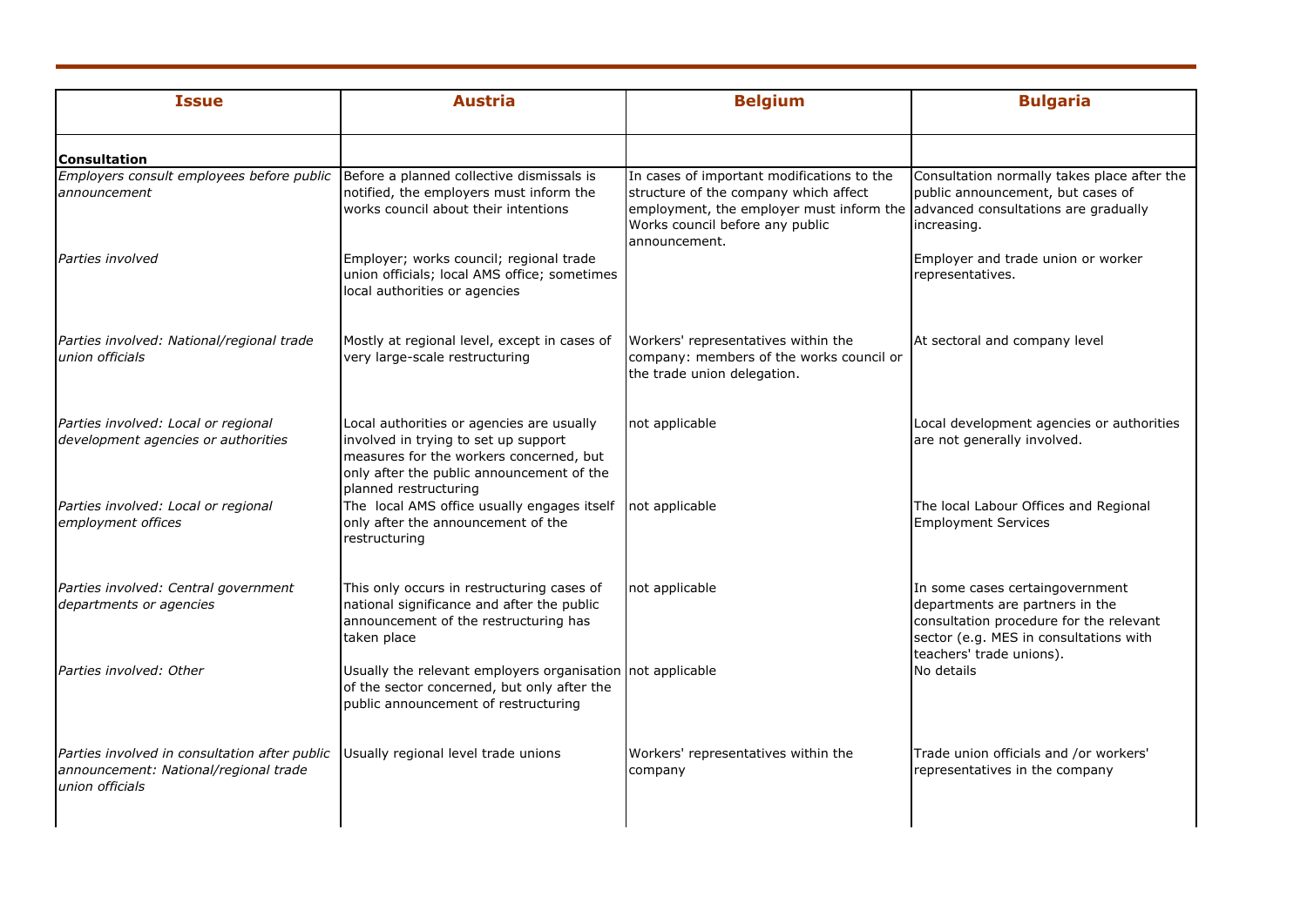| <b>Issue</b>                                                                                                                                  | <b>Austria</b>                                                                                                                                                                                     | <b>Belgium</b>                                                                                                                                                                                                           | <b>Bulgaria</b>                                                                                                                                                                     |
|-----------------------------------------------------------------------------------------------------------------------------------------------|----------------------------------------------------------------------------------------------------------------------------------------------------------------------------------------------------|--------------------------------------------------------------------------------------------------------------------------------------------------------------------------------------------------------------------------|-------------------------------------------------------------------------------------------------------------------------------------------------------------------------------------|
| <b>Consultation</b>                                                                                                                           |                                                                                                                                                                                                    |                                                                                                                                                                                                                          |                                                                                                                                                                                     |
| Employers consult employees before public   Before a planned collective dismissals is<br>announcement                                         | notified, the employers must inform the<br>works council about their intentions                                                                                                                    | In cases of important modifications to the<br>structure of the company which affect<br>employment, the employer must inform the advanced consultations are gradually<br>Works council before any public<br>announcement. | Consultation normally takes place after the<br>public announcement, but cases of<br>increasing.                                                                                     |
| Parties involved                                                                                                                              | Employer; works council; regional trade<br>union officials; local AMS office; sometimes<br>local authorities or agencies                                                                           |                                                                                                                                                                                                                          | Employer and trade union or worker<br>representatives.                                                                                                                              |
| Parties involved: National/regional trade<br>union officials                                                                                  | Mostly at regional level, except in cases of<br>very large-scale restructuring                                                                                                                     | Workers' representatives within the<br>company: members of the works council or<br>the trade union delegation.                                                                                                           | At sectoral and company level                                                                                                                                                       |
| Parties involved: Local or regional<br>development agencies or authorities                                                                    | Local authorities or agencies are usually<br>involved in trying to set up support<br>measures for the workers concerned, but<br>only after the public announcement of the<br>planned restructuring | not applicable                                                                                                                                                                                                           | Local development agencies or authorities<br>are not generally involved.                                                                                                            |
| Parties involved: Local or regional<br>employment offices                                                                                     | The local AMS office usually engages itself<br>only after the announcement of the<br>restructuring                                                                                                 | not applicable                                                                                                                                                                                                           | The local Labour Offices and Regional<br><b>Employment Services</b>                                                                                                                 |
| Parties involved: Central government<br>departments or agencies                                                                               | This only occurs in restructuring cases of<br>national significance and after the public<br>announcement of the restructuring has<br>taken place                                                   | not applicable                                                                                                                                                                                                           | In some cases certaingovernment<br>departments are partners in the<br>consultation procedure for the relevant<br>sector (e.g. MES in consultations with<br>teachers' trade unions). |
| Parties involved: Other                                                                                                                       | Usually the relevant employers organisation not applicable<br>of the sector concerned, but only after the<br>public announcement of restructuring                                                  |                                                                                                                                                                                                                          | No details                                                                                                                                                                          |
| Parties involved in consultation after public Usually regional level trade unions<br>announcement: National/regional trade<br>union officials |                                                                                                                                                                                                    | Workers' representatives within the<br>company                                                                                                                                                                           | Trade union officials and /or workers'<br>representatives in the company                                                                                                            |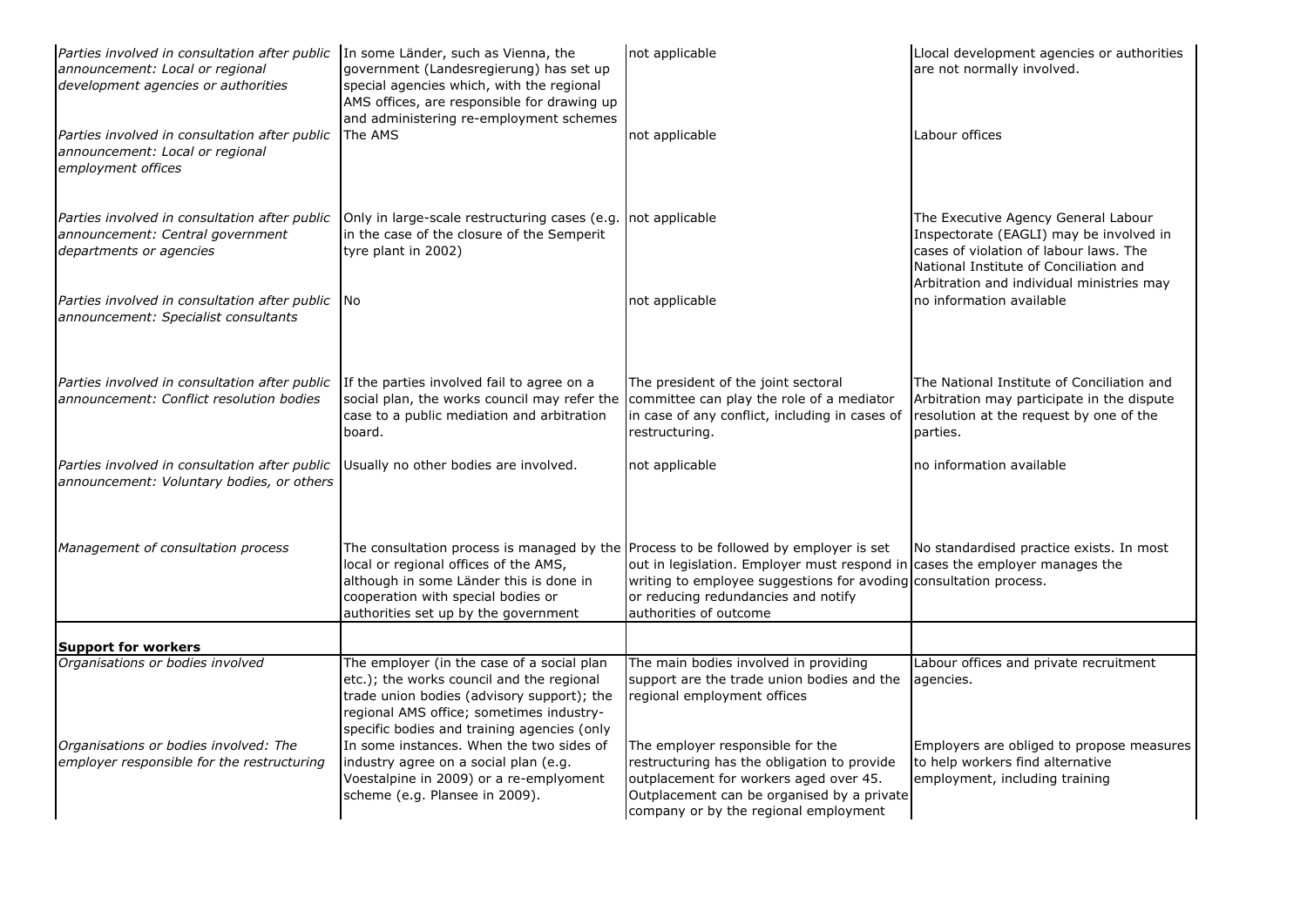| <i>Parties involved in consultation after public</i> In some Länder, such as Vienna, the<br>announcement: Local or regional<br>development agencies or authorities | government (Landesregierung) has set up<br>special agencies which, with the regional<br>AMS offices, are responsible for drawing up<br>and administering re-employment schemes                                                                         | not applicable                                                                                                                                                                                                   | Llocal development agencies or authorities<br>are not normally involved.                                                                                           |
|--------------------------------------------------------------------------------------------------------------------------------------------------------------------|--------------------------------------------------------------------------------------------------------------------------------------------------------------------------------------------------------------------------------------------------------|------------------------------------------------------------------------------------------------------------------------------------------------------------------------------------------------------------------|--------------------------------------------------------------------------------------------------------------------------------------------------------------------|
| Parties involved in consultation after public<br>announcement: Local or regional<br>employment offices                                                             | The AMS                                                                                                                                                                                                                                                | not applicable                                                                                                                                                                                                   | Labour offices                                                                                                                                                     |
| Parties involved in consultation after public<br>announcement: Central government<br>departments or agencies                                                       | Only in large-scale restructuring cases (e.g. not applicable<br>in the case of the closure of the Semperit<br>tyre plant in 2002)                                                                                                                      |                                                                                                                                                                                                                  | The Executive Agency General Labour<br>Inspectorate (EAGLI) may be involved in<br>cases of violation of labour laws. The<br>National Institute of Conciliation and |
| Parties involved in consultation after public No<br>announcement: Specialist consultants                                                                           |                                                                                                                                                                                                                                                        | not applicable                                                                                                                                                                                                   | Arbitration and individual ministries may<br>no information available                                                                                              |
| Parties involved in consultation after public<br>announcement: Conflict resolution bodies                                                                          | If the parties involved fail to agree on a<br>social plan, the works council may refer the<br>case to a public mediation and arbitration<br>board.                                                                                                     | The president of the joint sectoral<br>committee can play the role of a mediator<br>in case of any conflict, including in cases of<br>restructuring.                                                             | The National Institute of Conciliation and<br>Arbitration may participate in the dispute<br>resolution at the request by one of the<br>parties.                    |
| Parties involved in consultation after public<br>announcement: Voluntary bodies, or others                                                                         | Usually no other bodies are involved.                                                                                                                                                                                                                  | not applicable                                                                                                                                                                                                   | no information available                                                                                                                                           |
| Management of consultation process                                                                                                                                 | The consultation process is managed by the Process to be followed by employer is set<br>local or regional offices of the AMS,<br>although in some Länder this is done in<br>cooperation with special bodies or<br>authorities set up by the government | out in legislation. Employer must respond in<br>writing to employee suggestions for avoding consultation process.<br>or reducing redundancies and notify<br>authorities of outcome                               | No standardised practice exists. In most<br>cases the employer manages the                                                                                         |
| <b>Support for workers</b>                                                                                                                                         |                                                                                                                                                                                                                                                        |                                                                                                                                                                                                                  |                                                                                                                                                                    |
| Organisations or bodies involved                                                                                                                                   | The employer (in the case of a social plan<br>etc.); the works council and the regional<br>trade union bodies (advisory support); the<br>regional AMS office; sometimes industry-<br>specific bodies and training agencies (only                       | The main bodies involved in providing<br>support are the trade union bodies and the<br>regional employment offices                                                                                               | Labour offices and private recruitment<br>agencies.                                                                                                                |
| Organisations or bodies involved: The<br>employer responsible for the restructuring                                                                                | In some instances. When the two sides of<br>industry agree on a social plan (e.g.<br>Voestalpine in 2009) or a re-emplyoment<br>scheme (e.g. Plansee in 2009).                                                                                         | The employer responsible for the<br>restructuring has the obligation to provide<br>outplacement for workers aged over 45.<br>Outplacement can be organised by a private<br>company or by the regional employment | Employers are obliged to propose measures<br>to help workers find alternative<br>employment, including training                                                    |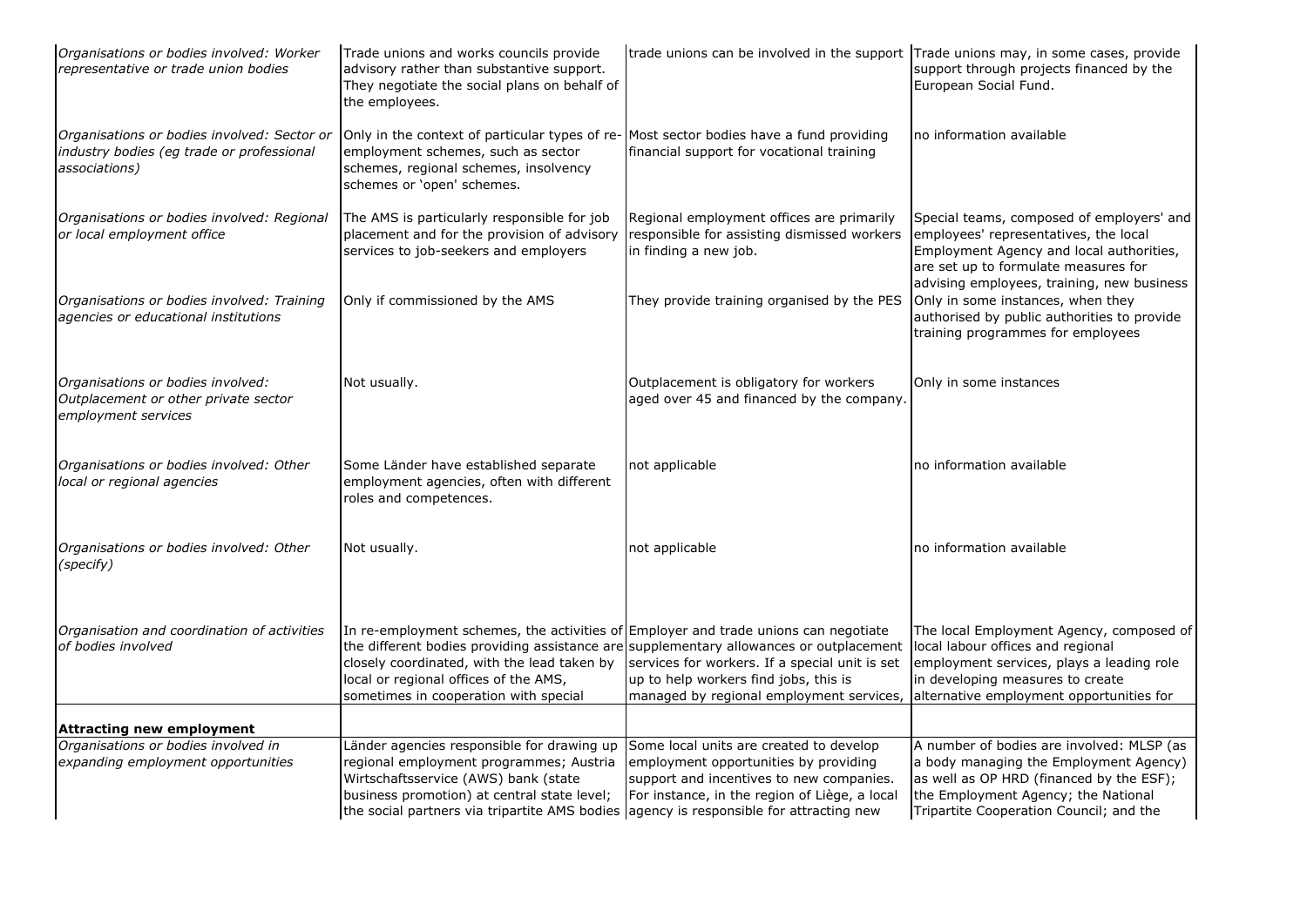| Organisations or bodies involved: Worker<br>representative or trade union bodies                          | Trade unions and works councils provide<br>advisory rather than substantive support.<br>They negotiate the social plans on behalf of<br>the employees.                                                                    | trade unions can be involved in the support Trade unions may, in some cases, provide                                                                                                                                          | support through projects financed by the<br>European Social Fund.                                                                                                                                                    |
|-----------------------------------------------------------------------------------------------------------|---------------------------------------------------------------------------------------------------------------------------------------------------------------------------------------------------------------------------|-------------------------------------------------------------------------------------------------------------------------------------------------------------------------------------------------------------------------------|----------------------------------------------------------------------------------------------------------------------------------------------------------------------------------------------------------------------|
| Organisations or bodies involved: Sector or<br>industry bodies (eg trade or professional<br>associations) | Only in the context of particular types of re- Most sector bodies have a fund providing<br>employment schemes, such as sector<br>schemes, regional schemes, insolvency<br>schemes or 'open' schemes.                      | financial support for vocational training                                                                                                                                                                                     | no information available                                                                                                                                                                                             |
| Organisations or bodies involved: Regional<br>or local employment office                                  | The AMS is particularly responsible for job<br>placement and for the provision of advisory<br>services to job-seekers and employers                                                                                       | Regional employment offices are primarily<br>responsible for assisting dismissed workers<br>in finding a new job.                                                                                                             | Special teams, composed of employers' and<br>employees' representatives, the local<br>Employment Agency and local authorities,<br>are set up to formulate measures for<br>advising employees, training, new business |
| Organisations or bodies involved: Training<br>agencies or educational institutions                        | Only if commissioned by the AMS                                                                                                                                                                                           | They provide training organised by the PES                                                                                                                                                                                    | Only in some instances, when they<br>authorised by public authorities to provide<br>training programmes for employees                                                                                                |
| Organisations or bodies involved:<br>Outplacement or other private sector<br>employment services          | Not usually.                                                                                                                                                                                                              | Outplacement is obligatory for workers<br>aged over 45 and financed by the company.                                                                                                                                           | Only in some instances                                                                                                                                                                                               |
| Organisations or bodies involved: Other<br>local or regional agencies                                     | Some Länder have established separate<br>employment agencies, often with different<br>roles and competences.                                                                                                              | not applicable                                                                                                                                                                                                                | no information available                                                                                                                                                                                             |
| Organisations or bodies involved: Other<br>(specify)                                                      | Not usually.                                                                                                                                                                                                              | not applicable                                                                                                                                                                                                                | no information available                                                                                                                                                                                             |
| Organisation and coordination of activities<br>of bodies involved                                         | In re-employment schemes, the activities of Employer and trade unions can negotiate<br>closely coordinated, with the lead taken by<br>local or regional offices of the AMS,<br>sometimes in cooperation with special      | the different bodies providing assistance are supplementary allowances or outplacement<br>services for workers. If a special unit is set<br>up to help workers find jobs, this is<br>managed by regional employment services, | The local Employment Agency, composed of<br>local labour offices and regional<br>employment services, plays a leading role<br>in developing measures to create<br>alternative employment opportunities for           |
| <b>Attracting new employment</b>                                                                          |                                                                                                                                                                                                                           |                                                                                                                                                                                                                               |                                                                                                                                                                                                                      |
| Organisations or bodies involved in                                                                       | Länder agencies responsible for drawing up                                                                                                                                                                                | Some local units are created to develop                                                                                                                                                                                       | A number of bodies are involved: MLSP (as                                                                                                                                                                            |
| expanding employment opportunities                                                                        | regional employment programmes; Austria<br>Wirtschaftsservice (AWS) bank (state<br>business promotion) at central state level;<br>the social partners via tripartite AMS bodies (agency is responsible for attracting new | employment opportunities by providing<br>support and incentives to new companies.<br>For instance, in the region of Liège, a local                                                                                            | a body managing the Employment Agency)<br>as well as OP HRD (financed by the ESF);<br>the Employment Agency; the National<br>Tripartite Cooperation Council; and the                                                 |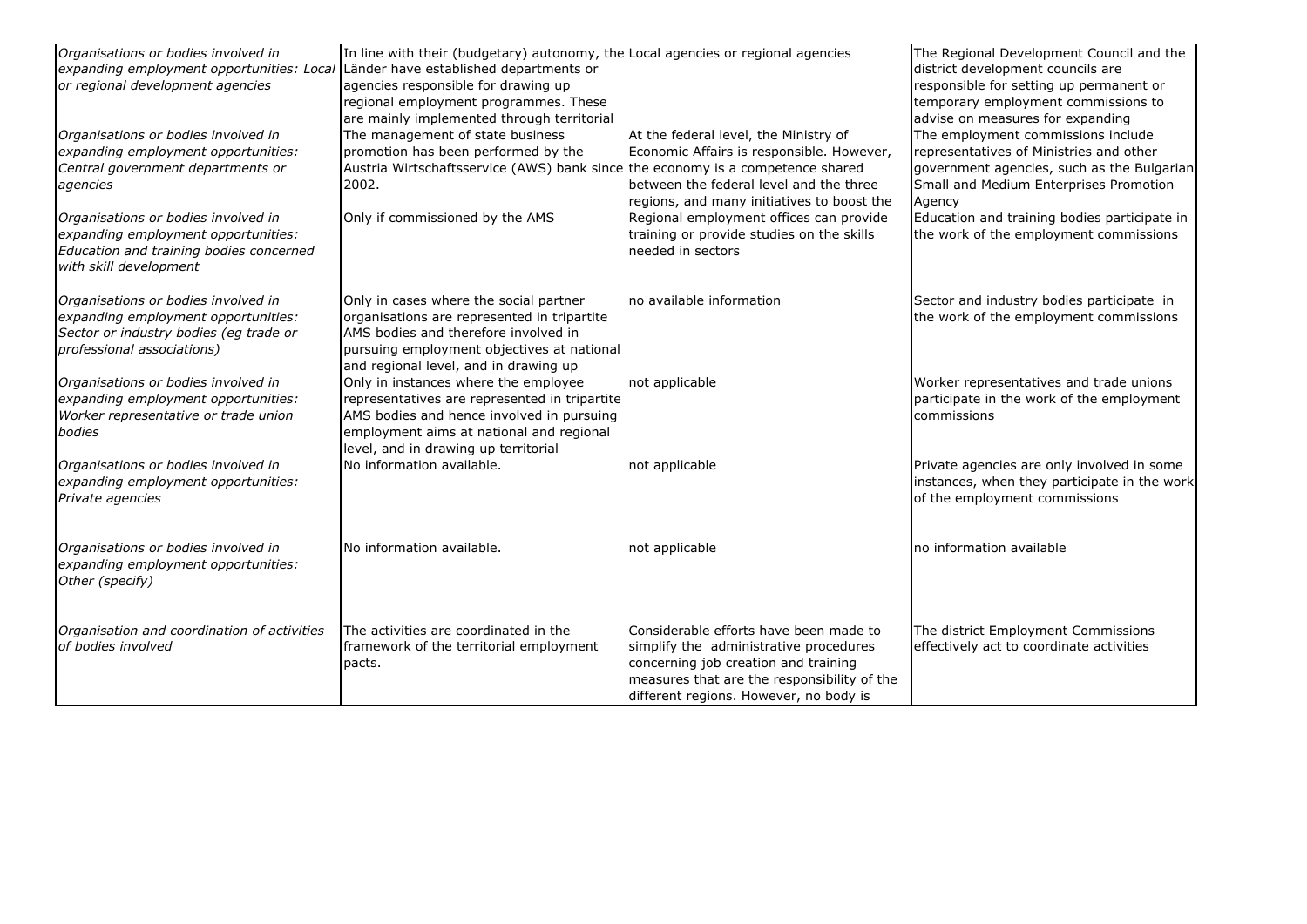| Organisations or bodies involved in<br>expanding employment opportunities: Local Länder have established departments or<br>or regional development agencies | In line with their (budgetary) autonomy, the Local agencies or regional agencies<br>agencies responsible for drawing up<br>regional employment programmes. These<br>are mainly implemented through territorial         |                                                                                                                                                                                                                   | The Regional Development Council and the<br>district development councils are<br>responsible for setting up permanent or<br>temporary employment commissions to<br>advise on measures for expanding |
|-------------------------------------------------------------------------------------------------------------------------------------------------------------|------------------------------------------------------------------------------------------------------------------------------------------------------------------------------------------------------------------------|-------------------------------------------------------------------------------------------------------------------------------------------------------------------------------------------------------------------|-----------------------------------------------------------------------------------------------------------------------------------------------------------------------------------------------------|
| Organisations or bodies involved in<br>expanding employment opportunities:<br>Central government departments or<br>agencies                                 | The management of state business<br>promotion has been performed by the<br>Austria Wirtschaftsservice (AWS) bank since the economy is a competence shared<br>2002.                                                     | At the federal level, the Ministry of<br>Economic Affairs is responsible. However,<br>between the federal level and the three<br>regions, and many initiatives to boost the                                       | The employment commissions include<br>representatives of Ministries and other<br>government agencies, such as the Bulgarian<br>Small and Medium Enterprises Promotion<br>Agency                     |
| Organisations or bodies involved in<br>expanding employment opportunities:<br>Education and training bodies concerned<br>with skill development             | Only if commissioned by the AMS                                                                                                                                                                                        | Regional employment offices can provide<br>training or provide studies on the skills<br>needed in sectors                                                                                                         | Education and training bodies participate in<br>the work of the employment commissions                                                                                                              |
| Organisations or bodies involved in<br>expanding employment opportunities:<br>Sector or industry bodies (eg trade or<br>professional associations)          | Only in cases where the social partner<br>organisations are represented in tripartite<br>AMS bodies and therefore involved in<br>pursuing employment objectives at national<br>and regional level, and in drawing up   | no available information                                                                                                                                                                                          | Sector and industry bodies participate in<br>the work of the employment commissions                                                                                                                 |
| Organisations or bodies involved in<br>expanding employment opportunities:<br>Worker representative or trade union<br>bodies                                | Only in instances where the employee<br>representatives are represented in tripartite<br>AMS bodies and hence involved in pursuing<br>employment aims at national and regional<br>level, and in drawing up territorial | not applicable                                                                                                                                                                                                    | Worker representatives and trade unions<br>participate in the work of the employment<br>commissions                                                                                                 |
| Organisations or bodies involved in<br>expanding employment opportunities:<br>Private agencies                                                              | No information available.                                                                                                                                                                                              | not applicable                                                                                                                                                                                                    | Private agencies are only involved in some<br>instances, when they participate in the work<br>of the employment commissions                                                                         |
| Organisations or bodies involved in<br>expanding employment opportunities:<br>Other (specify)                                                               | No information available.                                                                                                                                                                                              | not applicable                                                                                                                                                                                                    | no information available                                                                                                                                                                            |
| Organisation and coordination of activities<br>of bodies involved                                                                                           | The activities are coordinated in the<br>framework of the territorial employment<br>pacts.                                                                                                                             | Considerable efforts have been made to<br>simplify the administrative procedures<br>concerning job creation and training<br>measures that are the responsibility of the<br>different regions. However, no body is | The district Employment Commissions<br>effectively act to coordinate activities                                                                                                                     |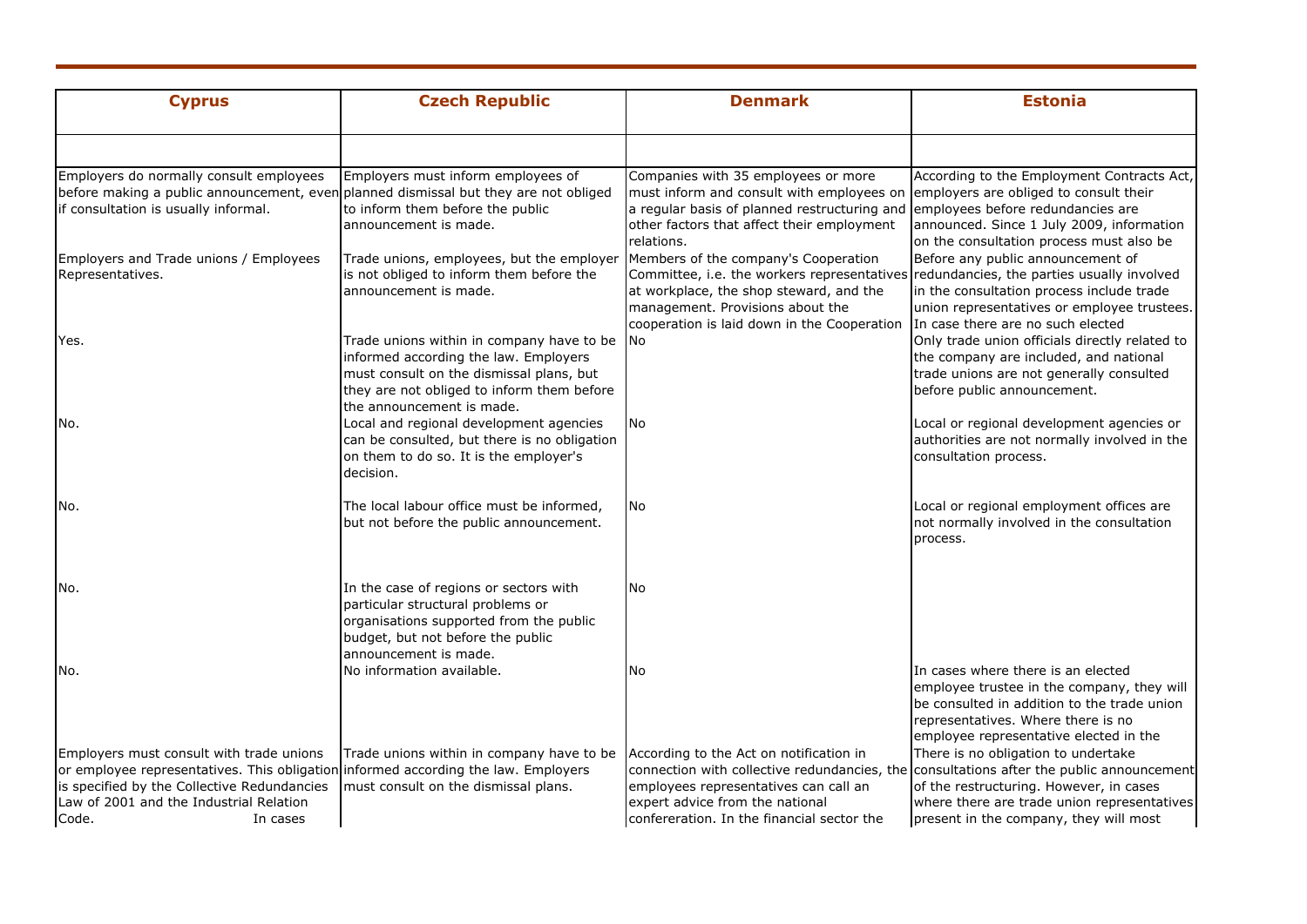| <b>Cyprus</b>                                                                                                                                                                                                                                 | <b>Czech Republic</b>                                                                                                                                                                                     | <b>Denmark</b>                                                                                                                                                                                                                                               | <b>Estonia</b>                                                                                                                                                                                                                                                      |
|-----------------------------------------------------------------------------------------------------------------------------------------------------------------------------------------------------------------------------------------------|-----------------------------------------------------------------------------------------------------------------------------------------------------------------------------------------------------------|--------------------------------------------------------------------------------------------------------------------------------------------------------------------------------------------------------------------------------------------------------------|---------------------------------------------------------------------------------------------------------------------------------------------------------------------------------------------------------------------------------------------------------------------|
|                                                                                                                                                                                                                                               |                                                                                                                                                                                                           |                                                                                                                                                                                                                                                              |                                                                                                                                                                                                                                                                     |
| Employers do normally consult employees<br>before making a public announcement, even planned dismissal but they are not obliged<br>if consultation is usually informal.                                                                       | Employers must inform employees of<br>to inform them before the public<br>announcement is made.                                                                                                           | Companies with 35 employees or more<br>must inform and consult with employees on<br>a regular basis of planned restructuring and<br>other factors that affect their employment<br>relations.                                                                 | According to the Employment Contracts Act,<br>employers are obliged to consult their<br>employees before redundancies are<br>announced. Since 1 July 2009, information<br>on the consultation process must also be                                                  |
| Employers and Trade unions / Employees<br>Representatives.                                                                                                                                                                                    | Trade unions, employees, but the employer<br>is not obliged to inform them before the<br>announcement is made.                                                                                            | Members of the company's Cooperation<br>Committee, i.e. the workers representatives redundancies, the parties usually involved<br>at workplace, the shop steward, and the<br>management. Provisions about the<br>cooperation is laid down in the Cooperation | Before any public announcement of<br>in the consultation process include trade<br>union representatives or employee trustees.<br>In case there are no such elected                                                                                                  |
| Yes.                                                                                                                                                                                                                                          | Trade unions within in company have to be<br>informed according the law. Employers<br>must consult on the dismissal plans, but<br>they are not obliged to inform them before<br>the announcement is made. | No                                                                                                                                                                                                                                                           | Only trade union officials directly related to<br>the company are included, and national<br>trade unions are not generally consulted<br>before public announcement.                                                                                                 |
| No.                                                                                                                                                                                                                                           | Local and regional development agencies<br>can be consulted, but there is no obligation<br>on them to do so. It is the employer's<br>decision.                                                            | No                                                                                                                                                                                                                                                           | Local or regional development agencies or<br>authorities are not normally involved in the<br>consultation process.                                                                                                                                                  |
| No.                                                                                                                                                                                                                                           | The local labour office must be informed,<br>but not before the public announcement.                                                                                                                      | No                                                                                                                                                                                                                                                           | Local or regional employment offices are<br>not normally involved in the consultation<br>process.                                                                                                                                                                   |
| No.                                                                                                                                                                                                                                           | In the case of regions or sectors with<br>particular structural problems or<br>organisations supported from the public<br>budget, but not before the public<br>announcement is made.                      | No                                                                                                                                                                                                                                                           |                                                                                                                                                                                                                                                                     |
| No.                                                                                                                                                                                                                                           | No information available.                                                                                                                                                                                 | No                                                                                                                                                                                                                                                           | In cases where there is an elected<br>employee trustee in the company, they will<br>be consulted in addition to the trade union<br>representatives. Where there is no<br>employee representative elected in the                                                     |
| Employers must consult with trade unions<br>or employee representatives. This obligation informed according the law. Employers<br>is specified by the Collective Redundancies<br>Law of 2001 and the Industrial Relation<br>Code.<br>In cases | Trade unions within in company have to be<br>must consult on the dismissal plans.                                                                                                                         | According to the Act on notification in<br>employees representatives can call an<br>expert advice from the national<br>confereration. In the financial sector the                                                                                            | There is no obligation to undertake<br>connection with collective redundancies, the consultations after the public announcement<br>of the restructuring. However, in cases<br>where there are trade union representatives<br>present in the company, they will most |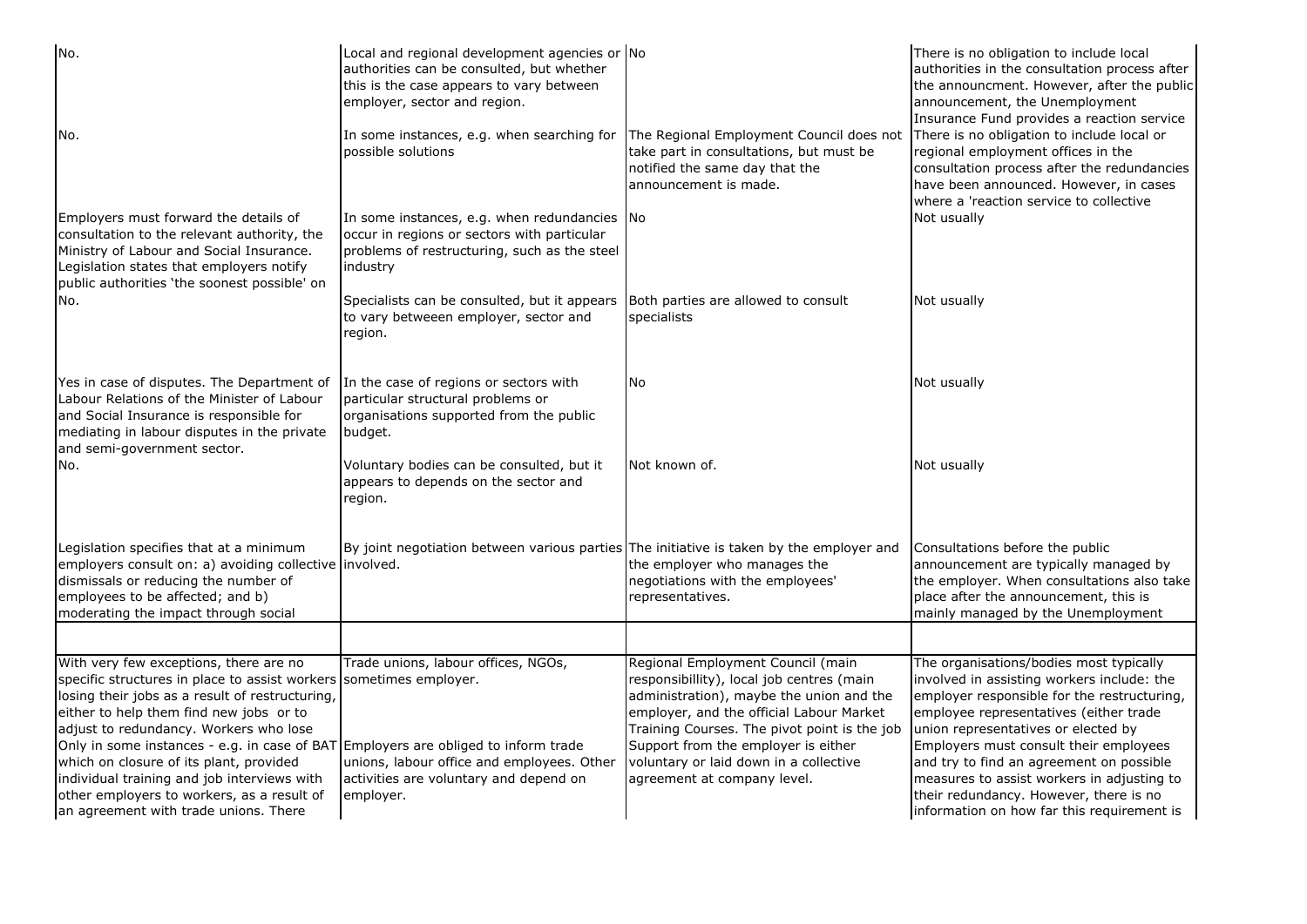| No.                                                                                                                                                                                                                                                                                                                                                                                                                                                                                                                         | Local and regional development agencies or No<br>authorities can be consulted, but whether<br>this is the case appears to vary between<br>employer, sector and region. |                                                                                                                                                                                                                                                                                                                                        | There is no obligation to include local<br>authorities in the consultation process after<br>the announcment. However, after the public<br>announcement, the Unemployment<br>Insurance Fund provides a reaction service                                                                                                                                                                                                                            |
|-----------------------------------------------------------------------------------------------------------------------------------------------------------------------------------------------------------------------------------------------------------------------------------------------------------------------------------------------------------------------------------------------------------------------------------------------------------------------------------------------------------------------------|------------------------------------------------------------------------------------------------------------------------------------------------------------------------|----------------------------------------------------------------------------------------------------------------------------------------------------------------------------------------------------------------------------------------------------------------------------------------------------------------------------------------|---------------------------------------------------------------------------------------------------------------------------------------------------------------------------------------------------------------------------------------------------------------------------------------------------------------------------------------------------------------------------------------------------------------------------------------------------|
| No.                                                                                                                                                                                                                                                                                                                                                                                                                                                                                                                         | In some instances, e.g. when searching for<br>possible solutions                                                                                                       | The Regional Employment Council does not<br>take part in consultations, but must be<br>notified the same day that the<br>announcement is made.                                                                                                                                                                                         | There is no obligation to include local or<br>regional employment offices in the<br>consultation process after the redundancies<br>have been announced. However, in cases<br>where a 'reaction service to collective                                                                                                                                                                                                                              |
| Employers must forward the details of<br>consultation to the relevant authority, the<br>Ministry of Labour and Social Insurance.<br>Legislation states that employers notify<br>public authorities 'the soonest possible' on                                                                                                                                                                                                                                                                                                | In some instances, e.g. when redundancies No<br>occur in regions or sectors with particular<br>problems of restructuring, such as the steel<br>industry                |                                                                                                                                                                                                                                                                                                                                        | Not usually                                                                                                                                                                                                                                                                                                                                                                                                                                       |
| No.                                                                                                                                                                                                                                                                                                                                                                                                                                                                                                                         | Specialists can be consulted, but it appears<br>to vary betweeen employer, sector and<br>region.                                                                       | Both parties are allowed to consult<br>specialists                                                                                                                                                                                                                                                                                     | Not usually                                                                                                                                                                                                                                                                                                                                                                                                                                       |
| Yes in case of disputes. The Department of<br>Labour Relations of the Minister of Labour<br>and Social Insurance is responsible for<br>mediating in labour disputes in the private<br>and semi-government sector.                                                                                                                                                                                                                                                                                                           | In the case of regions or sectors with<br>particular structural problems or<br>organisations supported from the public<br>budget.                                      | No                                                                                                                                                                                                                                                                                                                                     | Not usually                                                                                                                                                                                                                                                                                                                                                                                                                                       |
| No.                                                                                                                                                                                                                                                                                                                                                                                                                                                                                                                         | Voluntary bodies can be consulted, but it<br>appears to depends on the sector and<br>region.                                                                           | Not known of.                                                                                                                                                                                                                                                                                                                          | Not usually                                                                                                                                                                                                                                                                                                                                                                                                                                       |
| Legislation specifies that at a minimum<br>employers consult on: a) avoiding collective involved.<br>dismissals or reducing the number of<br>employees to be affected; and b)<br>moderating the impact through social                                                                                                                                                                                                                                                                                                       | By joint negotiation between various parties The initiative is taken by the employer and                                                                               | the employer who manages the<br>negotiations with the employees'<br>representatives.                                                                                                                                                                                                                                                   | Consultations before the public<br>announcement are typically managed by<br>the employer. When consultations also take<br>place after the announcement, this is<br>mainly managed by the Unemployment                                                                                                                                                                                                                                             |
|                                                                                                                                                                                                                                                                                                                                                                                                                                                                                                                             |                                                                                                                                                                        |                                                                                                                                                                                                                                                                                                                                        |                                                                                                                                                                                                                                                                                                                                                                                                                                                   |
| With very few exceptions, there are no<br>specific structures in place to assist workers sometimes employer.<br>losing their jobs as a result of restructuring,<br>either to help them find new jobs or to<br>adjust to redundancy. Workers who lose<br>Only in some instances - e.g. in case of BAT Employers are obliged to inform trade<br>which on closure of its plant, provided<br>individual training and job interviews with<br>other employers to workers, as a result of<br>an agreement with trade unions. There | Trade unions, labour offices, NGOs,<br>unions, labour office and employees. Other<br>activities are voluntary and depend on<br>employer.                               | Regional Employment Council (main<br>responsibillity), local job centres (main<br>administration), maybe the union and the<br>employer, and the official Labour Market<br>Training Courses. The pivot point is the job<br>Support from the employer is either<br>voluntary or laid down in a collective<br>agreement at company level. | The organisations/bodies most typically<br>involved in assisting workers include: the<br>employer responsible for the restructuring,<br>employee representatives (either trade<br>union representatives or elected by<br>Employers must consult their employees<br>and try to find an agreement on possible<br>measures to assist workers in adjusting to<br>their redundancy. However, there is no<br>information on how far this requirement is |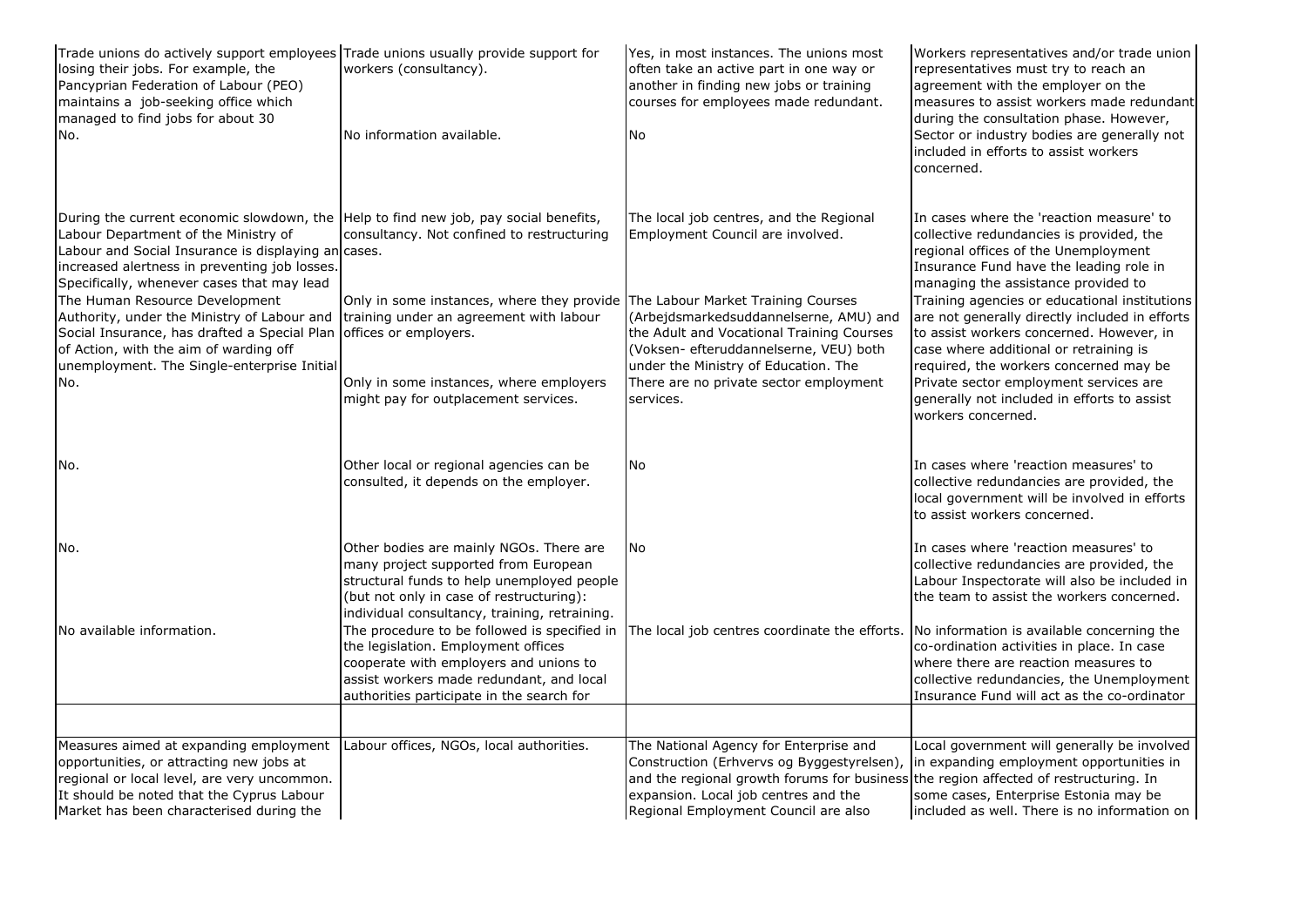| Trade unions do actively support employees Trade unions usually provide support for<br>losing their jobs. For example, the<br>Pancyprian Federation of Labour (PEO)<br>maintains a job-seeking office which<br>managed to find jobs for about 30<br>No.                                                                                                                                                                                                                                                             | workers (consultancy).<br>No information available.                                                                                                                                                                                                                                | Yes, in most instances. The unions most<br>often take an active part in one way or<br>another in finding new jobs or training<br>courses for employees made redundant.<br>No                                                                                                                                | Workers representatives and/or trade union<br>representatives must try to reach an<br>agreement with the employer on the<br>measures to assist workers made redundant<br>during the consultation phase. However,<br>Sector or industry bodies are generally not<br>included in efforts to assist workers                                                                                                                                                                                                                                                                       |
|---------------------------------------------------------------------------------------------------------------------------------------------------------------------------------------------------------------------------------------------------------------------------------------------------------------------------------------------------------------------------------------------------------------------------------------------------------------------------------------------------------------------|------------------------------------------------------------------------------------------------------------------------------------------------------------------------------------------------------------------------------------------------------------------------------------|-------------------------------------------------------------------------------------------------------------------------------------------------------------------------------------------------------------------------------------------------------------------------------------------------------------|--------------------------------------------------------------------------------------------------------------------------------------------------------------------------------------------------------------------------------------------------------------------------------------------------------------------------------------------------------------------------------------------------------------------------------------------------------------------------------------------------------------------------------------------------------------------------------|
| During the current economic slowdown, the Help to find new job, pay social benefits,<br>Labour Department of the Ministry of<br>Labour and Social Insurance is displaying an cases.<br>increased alertness in preventing job losses.<br>Specifically, whenever cases that may lead<br>The Human Resource Development<br>Authority, under the Ministry of Labour and<br>Social Insurance, has drafted a Special Plan<br>of Action, with the aim of warding off<br>unemployment. The Single-enterprise Initial<br>No. | consultancy. Not confined to restructuring<br>Only in some instances, where they provide The Labour Market Training Courses<br>training under an agreement with labour<br>offices or employers.<br>Only in some instances, where employers<br>might pay for outplacement services. | The local job centres, and the Regional<br>Employment Council are involved.<br>(Arbejdsmarkedsuddannelserne, AMU) and<br>the Adult and Vocational Training Courses<br>(Voksen- efteruddannelserne, VEU) both<br>under the Ministry of Education. The<br>There are no private sector employment<br>services. | concerned.<br>In cases where the 'reaction measure' to<br>collective redundancies is provided, the<br>regional offices of the Unemployment<br>Insurance Fund have the leading role in<br>managing the assistance provided to<br>Training agencies or educational institutions<br>are not generally directly included in efforts<br>to assist workers concerned. However, in<br>case where additional or retraining is<br>required, the workers concerned may be<br>Private sector employment services are<br>generally not included in efforts to assist<br>workers concerned. |
| No.                                                                                                                                                                                                                                                                                                                                                                                                                                                                                                                 | Other local or regional agencies can be<br>consulted, it depends on the employer.                                                                                                                                                                                                  | No                                                                                                                                                                                                                                                                                                          | In cases where 'reaction measures' to<br>collective redundancies are provided, the<br>local government will be involved in efforts<br>to assist workers concerned.                                                                                                                                                                                                                                                                                                                                                                                                             |
| No.                                                                                                                                                                                                                                                                                                                                                                                                                                                                                                                 | Other bodies are mainly NGOs. There are<br>many project supported from European<br>structural funds to help unemployed people<br>(but not only in case of restructuring):<br>individual consultancy, training, retraining.                                                         | <b>No</b>                                                                                                                                                                                                                                                                                                   | In cases where 'reaction measures' to<br>collective redundancies are provided, the<br>Labour Inspectorate will also be included in<br>the team to assist the workers concerned.                                                                                                                                                                                                                                                                                                                                                                                                |
| No available information.                                                                                                                                                                                                                                                                                                                                                                                                                                                                                           | The procedure to be followed is specified in<br>the legislation. Employment offices<br>cooperate with employers and unions to<br>assist workers made redundant, and local<br>authorities participate in the search for                                                             | The local job centres coordinate the efforts.                                                                                                                                                                                                                                                               | No information is available concerning the<br>co-ordination activities in place. In case<br>where there are reaction measures to<br>collective redundancies, the Unemployment<br>Insurance Fund will act as the co-ordinator                                                                                                                                                                                                                                                                                                                                                   |
| Measures aimed at expanding employment<br>opportunities, or attracting new jobs at<br>regional or local level, are very uncommon.<br>It should be noted that the Cyprus Labour<br>Market has been characterised during the                                                                                                                                                                                                                                                                                          | Labour offices, NGOs, local authorities.                                                                                                                                                                                                                                           | The National Agency for Enterprise and<br>Construction (Erhvervs og Byggestyrelsen),<br>and the regional growth forums for business the region affected of restructuring. In<br>expansion. Local job centres and the<br>Regional Employment Council are also                                                | Local government will generally be involved<br>in expanding employment opportunities in<br>some cases, Enterprise Estonia may be<br>included as well. There is no information on                                                                                                                                                                                                                                                                                                                                                                                               |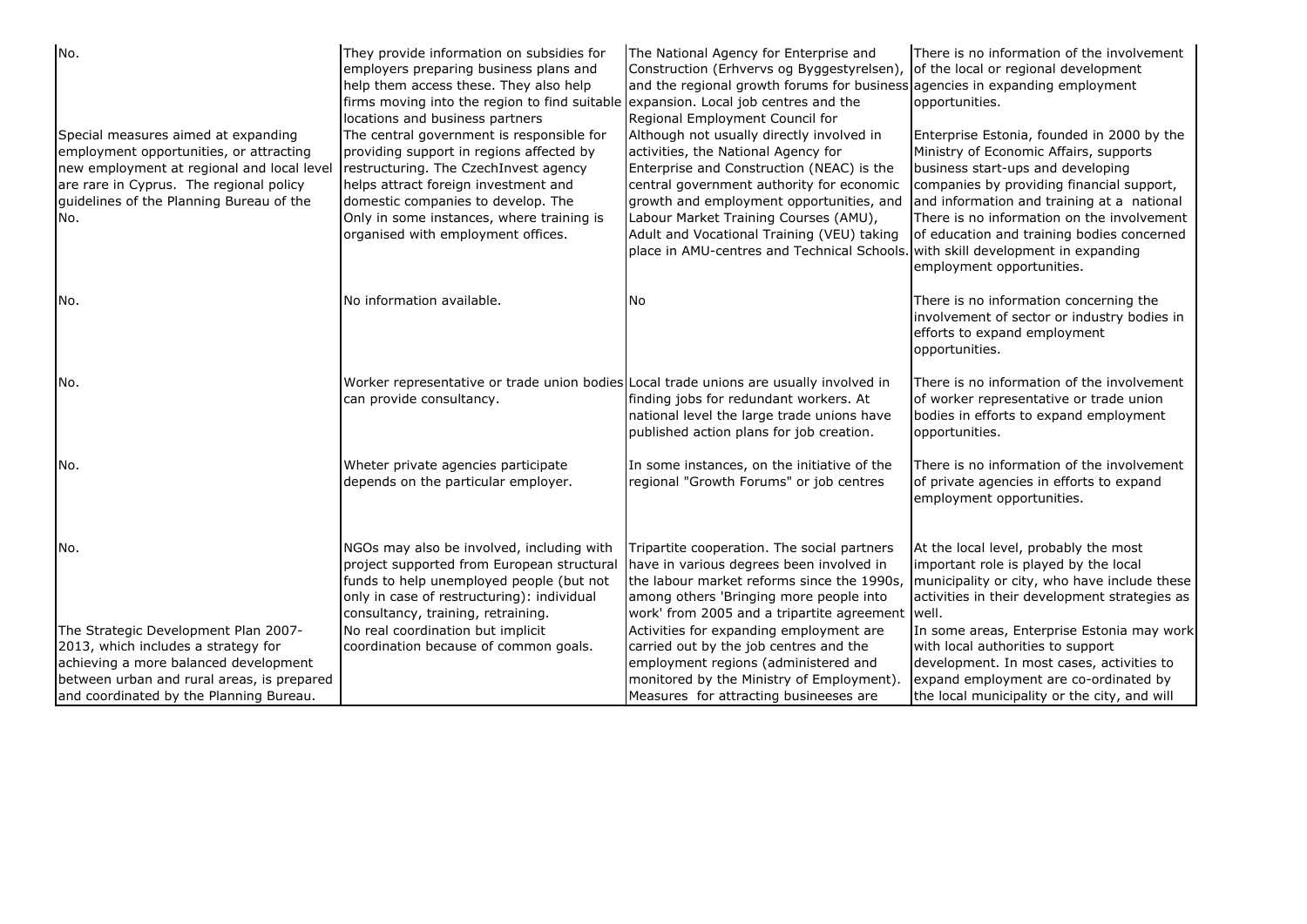| No.                                                                                                                                                                                                                        | They provide information on subsidies for<br>employers preparing business plans and<br>help them access these. They also help<br>firms moving into the region to find suitable expansion. Local job centres and the<br>locations and business partners                                          | The National Agency for Enterprise and<br>Construction (Erhvervs og Byggestyrelsen), of the local or regional development<br>and the regional growth forums for business agencies in expanding employment<br>Regional Employment Council for                                                                                                                                                     | There is no information of the involvement<br>opportunities.                                                                                                                                                                                                                                                                                  |
|----------------------------------------------------------------------------------------------------------------------------------------------------------------------------------------------------------------------------|-------------------------------------------------------------------------------------------------------------------------------------------------------------------------------------------------------------------------------------------------------------------------------------------------|--------------------------------------------------------------------------------------------------------------------------------------------------------------------------------------------------------------------------------------------------------------------------------------------------------------------------------------------------------------------------------------------------|-----------------------------------------------------------------------------------------------------------------------------------------------------------------------------------------------------------------------------------------------------------------------------------------------------------------------------------------------|
| Special measures aimed at expanding<br>employment opportunities, or attracting<br>new employment at regional and local level<br>are rare in Cyprus. The regional policy<br>guidelines of the Planning Bureau of the<br>No. | The central government is responsible for<br>providing support in regions affected by<br>restructuring. The CzechInvest agency<br>helps attract foreign investment and<br>domestic companies to develop. The<br>Only in some instances, where training is<br>organised with employment offices. | Although not usually directly involved in<br>activities, the National Agency for<br>Enterprise and Construction (NEAC) is the<br>central government authority for economic<br>growth and employment opportunities, and<br>Labour Market Training Courses (AMU),<br>Adult and Vocational Training (VEU) taking<br>place in AMU-centres and Technical Schools. with skill development in expanding | Enterprise Estonia, founded in 2000 by the<br>Ministry of Economic Affairs, supports<br>business start-ups and developing<br>companies by providing financial support,<br>and information and training at a national<br>There is no information on the involvement<br>of education and training bodies concerned<br>employment opportunities. |
| No.                                                                                                                                                                                                                        | No information available.                                                                                                                                                                                                                                                                       | No                                                                                                                                                                                                                                                                                                                                                                                               | There is no information concerning the<br>involvement of sector or industry bodies in<br>efforts to expand employment<br>opportunities.                                                                                                                                                                                                       |
| No.                                                                                                                                                                                                                        | Worker representative or trade union bodies Local trade unions are usually involved in<br>can provide consultancy.                                                                                                                                                                              | finding jobs for redundant workers. At<br>national level the large trade unions have<br>published action plans for job creation.                                                                                                                                                                                                                                                                 | There is no information of the involvement<br>of worker representative or trade union<br>bodies in efforts to expand employment<br>opportunities.                                                                                                                                                                                             |
| No.                                                                                                                                                                                                                        | Wheter private agencies participate<br>depends on the particular employer.                                                                                                                                                                                                                      | In some instances, on the initiative of the<br>regional "Growth Forums" or job centres                                                                                                                                                                                                                                                                                                           | There is no information of the involvement<br>of private agencies in efforts to expand<br>employment opportunities.                                                                                                                                                                                                                           |
| No.                                                                                                                                                                                                                        | NGOs may also be involved, including with<br>project supported from European structural<br>funds to help unemployed people (but not<br>only in case of restructuring): individual<br>consultancy, training, retraining.                                                                         | Tripartite cooperation. The social partners<br>have in various degrees been involved in<br>the labour market reforms since the 1990s,<br>among others 'Bringing more people into<br>work' from 2005 and a tripartite agreement well.                                                                                                                                                             | At the local level, probably the most<br>important role is played by the local<br>municipality or city, who have include these<br>activities in their development strategies as                                                                                                                                                               |
| The Strategic Development Plan 2007-                                                                                                                                                                                       | No real coordination but implicit                                                                                                                                                                                                                                                               | Activities for expanding employment are                                                                                                                                                                                                                                                                                                                                                          | In some areas, Enterprise Estonia may work                                                                                                                                                                                                                                                                                                    |
| 2013, which includes a strategy for                                                                                                                                                                                        | coordination because of common goals.                                                                                                                                                                                                                                                           | carried out by the job centres and the                                                                                                                                                                                                                                                                                                                                                           | with local authorities to support                                                                                                                                                                                                                                                                                                             |
| achieving a more balanced development                                                                                                                                                                                      |                                                                                                                                                                                                                                                                                                 | employment regions (administered and                                                                                                                                                                                                                                                                                                                                                             | development. In most cases, activities to                                                                                                                                                                                                                                                                                                     |
| between urban and rural areas, is prepared                                                                                                                                                                                 |                                                                                                                                                                                                                                                                                                 | monitored by the Ministry of Employment).                                                                                                                                                                                                                                                                                                                                                        | expand employment are co-ordinated by                                                                                                                                                                                                                                                                                                         |
| and coordinated by the Planning Bureau.                                                                                                                                                                                    |                                                                                                                                                                                                                                                                                                 | Measures for attracting busineeses are                                                                                                                                                                                                                                                                                                                                                           | the local municipality or the city, and will                                                                                                                                                                                                                                                                                                  |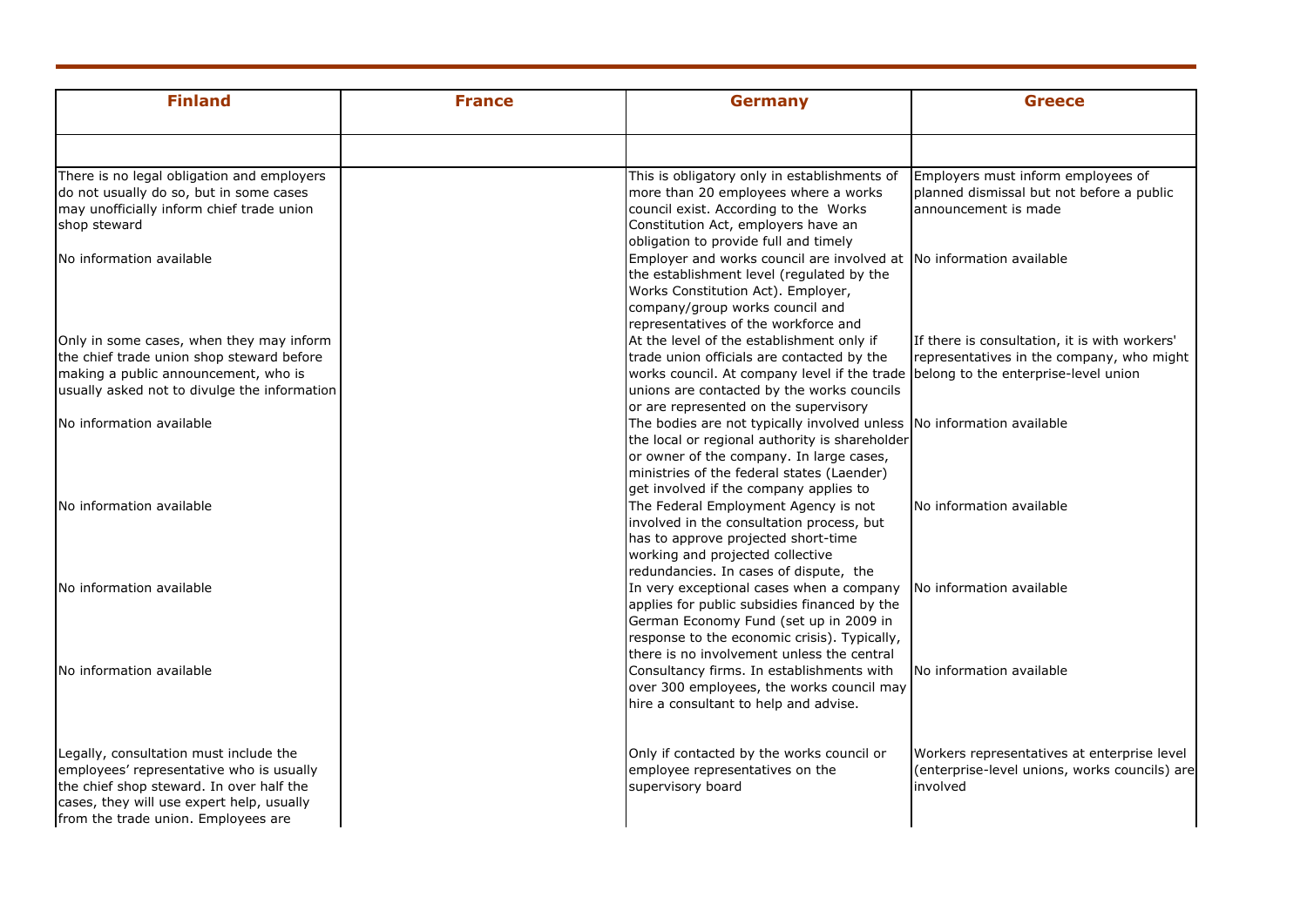| <b>Finland</b>                               | <b>France</b> | <b>Germany</b>                                                                                                    | <b>Greece</b>                                 |
|----------------------------------------------|---------------|-------------------------------------------------------------------------------------------------------------------|-----------------------------------------------|
|                                              |               |                                                                                                                   |                                               |
| There is no legal obligation and employers   |               | This is obligatory only in establishments of                                                                      | Employers must inform employees of            |
| do not usually do so, but in some cases      |               | more than 20 employees where a works                                                                              | planned dismissal but not before a public     |
| may unofficially inform chief trade union    |               | council exist. According to the Works                                                                             | announcement is made                          |
| shop steward                                 |               | Constitution Act, employers have an                                                                               |                                               |
|                                              |               | obligation to provide full and timely                                                                             |                                               |
| No information available                     |               | Employer and works council are involved at No information available                                               |                                               |
|                                              |               | the establishment level (regulated by the                                                                         |                                               |
|                                              |               | Works Constitution Act). Employer,                                                                                |                                               |
|                                              |               | company/group works council and                                                                                   |                                               |
|                                              |               | representatives of the workforce and                                                                              |                                               |
| Only in some cases, when they may inform     |               | At the level of the establishment only if                                                                         | If there is consultation, it is with workers' |
| the chief trade union shop steward before    |               | trade union officials are contacted by the                                                                        | representatives in the company, who might     |
| making a public announcement, who is         |               | works council. At company level if the trade belong to the enterprise-level union                                 |                                               |
| usually asked not to divulge the information |               | unions are contacted by the works councils                                                                        |                                               |
|                                              |               | or are represented on the supervisory                                                                             |                                               |
| No information available                     |               | The bodies are not typically involved unless No information available                                             |                                               |
|                                              |               | the local or regional authority is shareholder                                                                    |                                               |
|                                              |               | or owner of the company. In large cases,                                                                          |                                               |
|                                              |               | ministries of the federal states (Laender)                                                                        |                                               |
|                                              |               | get involved if the company applies to                                                                            |                                               |
| No information available                     |               | The Federal Employment Agency is not                                                                              | No information available                      |
|                                              |               | involved in the consultation process, but                                                                         |                                               |
|                                              |               | has to approve projected short-time<br>working and projected collective                                           |                                               |
|                                              |               | redundancies. In cases of dispute, the                                                                            |                                               |
|                                              |               |                                                                                                                   |                                               |
| No information available                     |               | In very exceptional cases when a company No information available<br>applies for public subsidies financed by the |                                               |
|                                              |               | German Economy Fund (set up in 2009 in                                                                            |                                               |
|                                              |               | response to the economic crisis). Typically,                                                                      |                                               |
|                                              |               | there is no involvement unless the central                                                                        |                                               |
| No information available                     |               | Consultancy firms. In establishments with                                                                         | No information available                      |
|                                              |               | over 300 employees, the works council may                                                                         |                                               |
|                                              |               | hire a consultant to help and advise.                                                                             |                                               |
|                                              |               |                                                                                                                   |                                               |
| Legally, consultation must include the       |               | Only if contacted by the works council or                                                                         | Workers representatives at enterprise level   |
| employees' representative who is usually     |               | employee representatives on the                                                                                   | (enterprise-level unions, works councils) are |
| the chief shop steward. In over half the     |               | supervisory board                                                                                                 | involved                                      |
| cases, they will use expert help, usually    |               |                                                                                                                   |                                               |
| from the trade union. Employees are          |               |                                                                                                                   |                                               |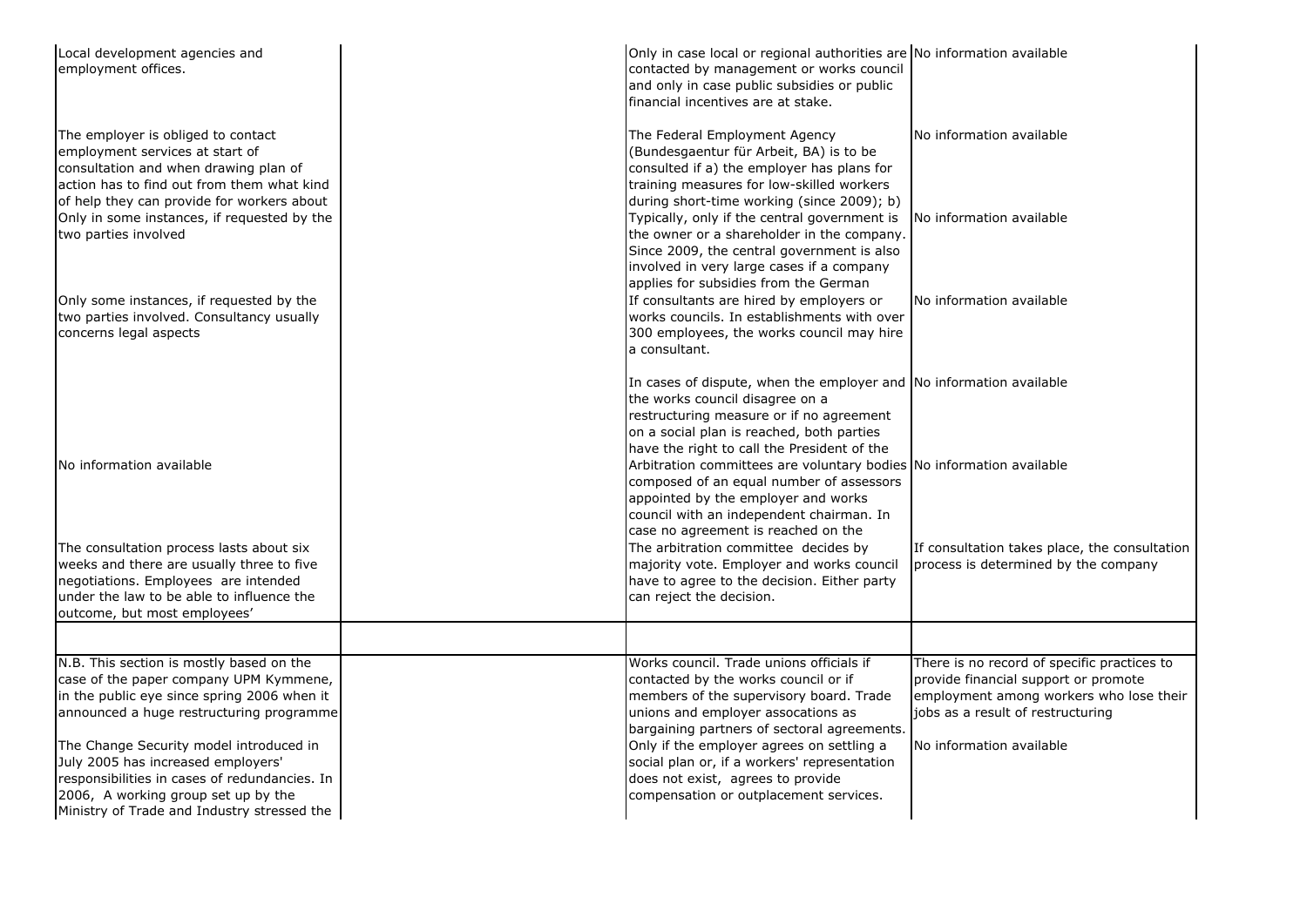| Local development agencies and<br>employment offices.                                                                                                                                                                | Only in case local or regional authorities are No information available<br>contacted by management or works council<br>and only in case public subsidies or public<br>financial incentives are at stake.                                       |                                                                                                                                                                     |
|----------------------------------------------------------------------------------------------------------------------------------------------------------------------------------------------------------------------|------------------------------------------------------------------------------------------------------------------------------------------------------------------------------------------------------------------------------------------------|---------------------------------------------------------------------------------------------------------------------------------------------------------------------|
| The employer is obliged to contact<br>employment services at start of<br>consultation and when drawing plan of<br>action has to find out from them what kind<br>of help they can provide for workers about           | The Federal Employment Agency<br>(Bundesgaentur für Arbeit, BA) is to be<br>consulted if a) the employer has plans for<br>training measures for low-skilled workers<br>during short-time working (since 2009); b)                              | No information available                                                                                                                                            |
| Only in some instances, if requested by the<br>two parties involved                                                                                                                                                  | Typically, only if the central government is<br>the owner or a shareholder in the company.<br>Since 2009, the central government is also<br>involved in very large cases if a company<br>applies for subsidies from the German                 | No information available                                                                                                                                            |
| Only some instances, if requested by the<br>two parties involved. Consultancy usually<br>concerns legal aspects                                                                                                      | If consultants are hired by employers or<br>works councils. In establishments with over<br>300 employees, the works council may hire<br>a consultant.                                                                                          | No information available                                                                                                                                            |
|                                                                                                                                                                                                                      | In cases of dispute, when the employer and No information available<br>the works council disagree on a<br>restructuring measure or if no agreement<br>on a social plan is reached, both parties<br>have the right to call the President of the |                                                                                                                                                                     |
| No information available                                                                                                                                                                                             | Arbitration committees are voluntary bodies No information available<br>composed of an equal number of assessors<br>appointed by the employer and works<br>council with an independent chairman. In<br>case no agreement is reached on the     |                                                                                                                                                                     |
| The consultation process lasts about six<br>weeks and there are usually three to five<br>negotiations. Employees are intended<br>under the law to be able to influence the<br>outcome, but most employees'           | The arbitration committee decides by<br>majority vote. Employer and works council<br>have to agree to the decision. Either party<br>can reject the decision.                                                                                   | If consultation takes place, the consultation<br>process is determined by the company                                                                               |
|                                                                                                                                                                                                                      |                                                                                                                                                                                                                                                |                                                                                                                                                                     |
| N.B. This section is mostly based on the<br>case of the paper company UPM Kymmene,<br>in the public eye since spring 2006 when it<br>announced a huge restructuring programme                                        | Works council. Trade unions officials if<br>contacted by the works council or if<br>members of the supervisory board. Trade<br>unions and employer assocations as<br>bargaining partners of sectoral agreements.                               | There is no record of specific practices to<br>provide financial support or promote<br>employment among workers who lose their<br>jobs as a result of restructuring |
| The Change Security model introduced in<br>July 2005 has increased employers'<br>responsibilities in cases of redundancies. In<br>2006, A working group set up by the<br>Ministry of Trade and Industry stressed the | Only if the employer agrees on settling a<br>social plan or, if a workers' representation<br>does not exist, agrees to provide<br>compensation or outplacement services.                                                                       | No information available                                                                                                                                            |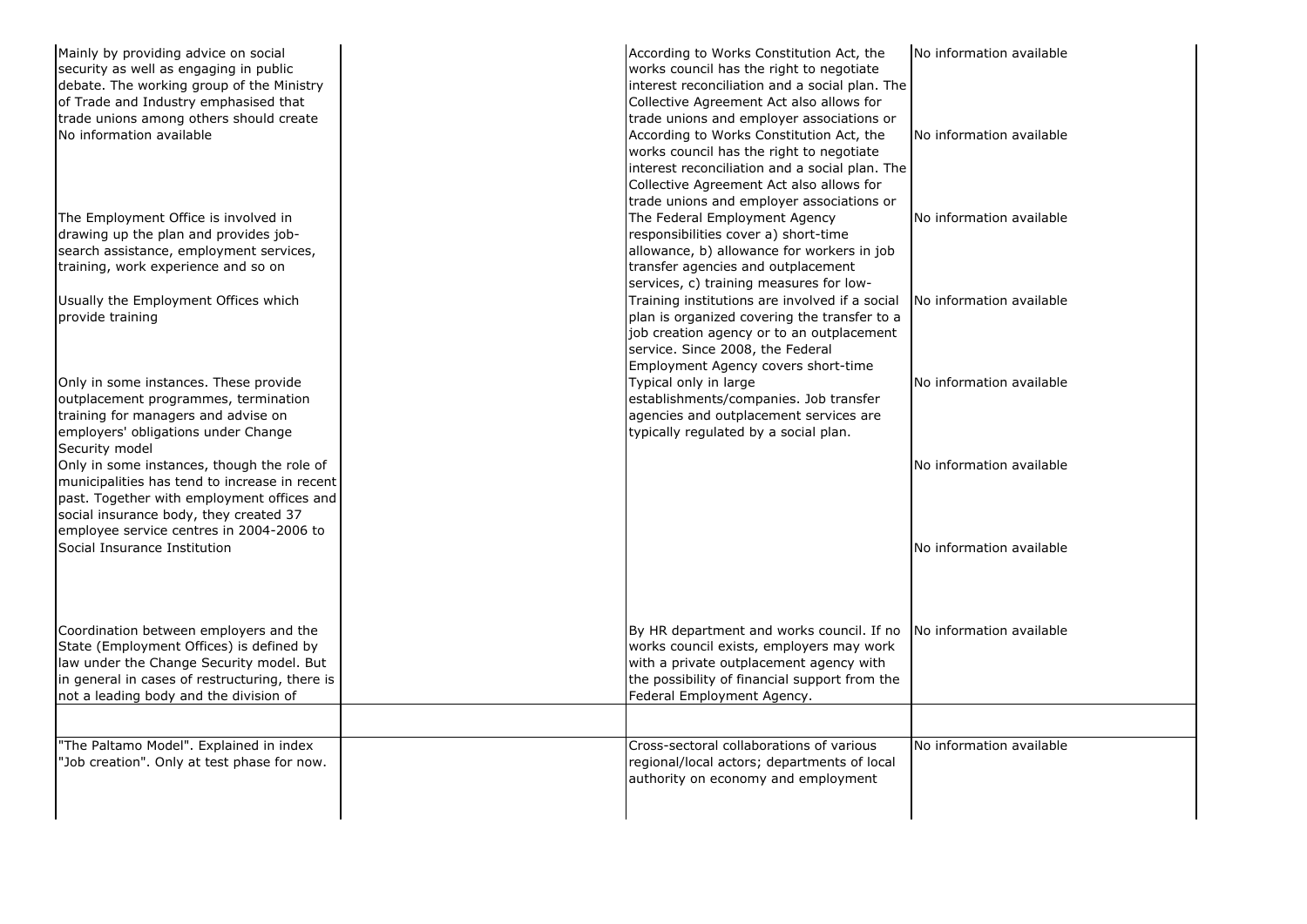| Mainly by providing advice on social<br>security as well as engaging in public<br>debate. The working group of the Ministry<br>of Trade and Industry emphasised that<br>trade unions among others should create<br>No information available<br>The Employment Office is involved in | According to Works Constitution Act, the<br>works council has the right to negotiate<br>interest reconciliation and a social plan. The<br>Collective Agreement Act also allows for<br>trade unions and employer associations or<br>According to Works Constitution Act, the<br>works council has the right to negotiate<br>interest reconciliation and a social plan. The<br>Collective Agreement Act also allows for<br>trade unions and employer associations or<br>The Federal Employment Agency | No information available<br>No information available<br>No information available |
|-------------------------------------------------------------------------------------------------------------------------------------------------------------------------------------------------------------------------------------------------------------------------------------|-----------------------------------------------------------------------------------------------------------------------------------------------------------------------------------------------------------------------------------------------------------------------------------------------------------------------------------------------------------------------------------------------------------------------------------------------------------------------------------------------------|----------------------------------------------------------------------------------|
| drawing up the plan and provides job-<br>search assistance, employment services,<br>training, work experience and so on<br>Usually the Employment Offices which                                                                                                                     | responsibilities cover a) short-time<br>allowance, b) allowance for workers in job<br>transfer agencies and outplacement<br>services, c) training measures for low-<br>Training institutions are involved if a social                                                                                                                                                                                                                                                                               | No information available                                                         |
| provide training                                                                                                                                                                                                                                                                    | plan is organized covering the transfer to a<br>job creation agency or to an outplacement<br>service. Since 2008, the Federal<br>Employment Agency covers short-time                                                                                                                                                                                                                                                                                                                                |                                                                                  |
| Only in some instances. These provide<br>outplacement programmes, termination<br>training for managers and advise on<br>employers' obligations under Change<br>Security model                                                                                                       | Typical only in large<br>establishments/companies. Job transfer<br>agencies and outplacement services are<br>typically regulated by a social plan.                                                                                                                                                                                                                                                                                                                                                  | No information available                                                         |
| Only in some instances, though the role of<br>municipalities has tend to increase in recent<br>past. Together with employment offices and<br>social insurance body, they created 37<br>employee service centres in 2004-2006 to                                                     |                                                                                                                                                                                                                                                                                                                                                                                                                                                                                                     | No information available                                                         |
| Social Insurance Institution                                                                                                                                                                                                                                                        |                                                                                                                                                                                                                                                                                                                                                                                                                                                                                                     | No information available                                                         |
| Coordination between employers and the<br>State (Employment Offices) is defined by<br>law under the Change Security model. But<br>in general in cases of restructuring, there is<br>not a leading body and the division of                                                          | By HR department and works council. If no<br>works council exists, employers may work<br>with a private outplacement agency with<br>the possibility of financial support from the<br>Federal Employment Agency.                                                                                                                                                                                                                                                                                     | No information available                                                         |
|                                                                                                                                                                                                                                                                                     |                                                                                                                                                                                                                                                                                                                                                                                                                                                                                                     |                                                                                  |
| "The Paltamo Model". Explained in index<br>'Job creation". Only at test phase for now.                                                                                                                                                                                              | Cross-sectoral collaborations of various<br>regional/local actors; departments of local<br>authority on economy and employment                                                                                                                                                                                                                                                                                                                                                                      | No information available                                                         |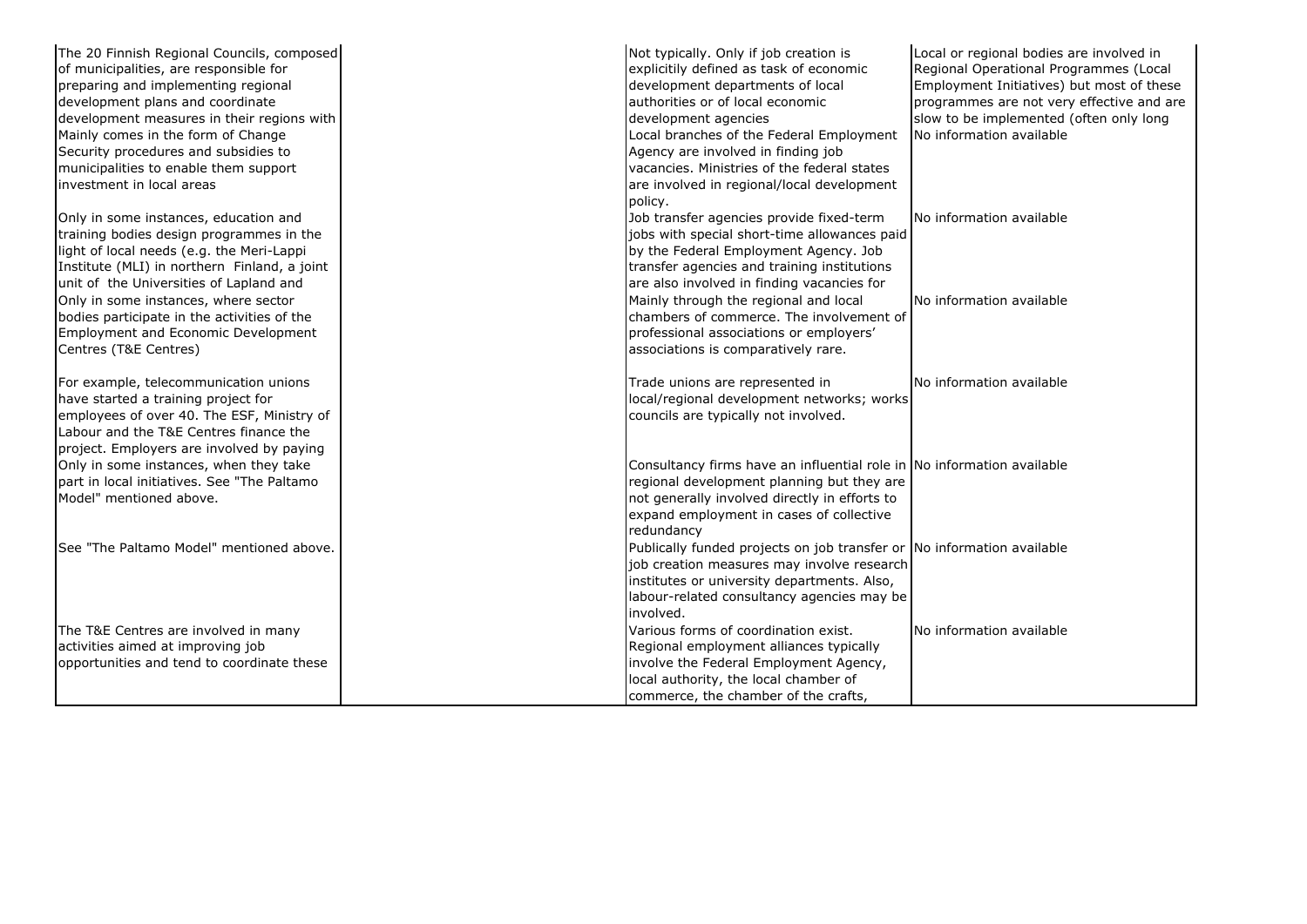| The 20 Finnish Regional Councils, composed<br>of municipalities, are responsible for<br>preparing and implementing regional<br>development plans and coordinate<br>development measures in their regions with             | development agencies | Not typically. Only if job creation is<br>explicitily defined as task of economic<br>development departments of local<br>authorities or of local economic                                                                      | Local or regional bodies are involved in<br>Regional Operational Programmes (Local<br>Employment Initiatives) but most of these<br>programmes are not very effective and are<br>slow to be implemented (often only long |
|---------------------------------------------------------------------------------------------------------------------------------------------------------------------------------------------------------------------------|----------------------|--------------------------------------------------------------------------------------------------------------------------------------------------------------------------------------------------------------------------------|-------------------------------------------------------------------------------------------------------------------------------------------------------------------------------------------------------------------------|
| Mainly comes in the form of Change<br>Security procedures and subsidies to<br>municipalities to enable them support<br>linvestment in local areas                                                                         | policy.              | Local branches of the Federal Employment<br>Agency are involved in finding job<br>vacancies. Ministries of the federal states<br>are involved in regional/local development                                                    | No information available                                                                                                                                                                                                |
| Only in some instances, education and<br>training bodies design programmes in the<br>light of local needs (e.g. the Meri-Lappi<br>Institute (MLI) in northern Finland, a joint<br>unit of the Universities of Lapland and |                      | Job transfer agencies provide fixed-term<br>jobs with special short-time allowances paid<br>by the Federal Employment Agency. Job<br>transfer agencies and training institutions<br>are also involved in finding vacancies for | No information available                                                                                                                                                                                                |
| Only in some instances, where sector<br>bodies participate in the activities of the<br>Employment and Economic Development<br>Centres (T&E Centres)                                                                       |                      | Mainly through the regional and local<br>chambers of commerce. The involvement of<br>professional associations or employers'<br>associations is comparatively rare.                                                            | No information available                                                                                                                                                                                                |
| For example, telecommunication unions<br>have started a training project for<br>employees of over 40. The ESF, Ministry of<br>Labour and the T&E Centres finance the<br>project. Employers are involved by paying         |                      | Trade unions are represented in<br>local/regional development networks; works<br>councils are typically not involved.                                                                                                          | No information available                                                                                                                                                                                                |
| Only in some instances, when they take<br>part in local initiatives. See "The Paltamo<br>Model" mentioned above.                                                                                                          | redundancy           | Consultancy firms have an influential role in No information available<br>regional development planning but they are<br>not generally involved directly in efforts to<br>expand employment in cases of collective              |                                                                                                                                                                                                                         |
| See "The Paltamo Model" mentioned above.                                                                                                                                                                                  | involved.            | Publically funded projects on job transfer or No information available<br>job creation measures may involve research<br>institutes or university departments. Also,<br>labour-related consultancy agencies may be              |                                                                                                                                                                                                                         |
| The T&E Centres are involved in many<br>activities aimed at improving job<br>opportunities and tend to coordinate these                                                                                                   |                      | Various forms of coordination exist.<br>Regional employment alliances typically<br>involve the Federal Employment Agency,<br>local authority, the local chamber of<br>commerce, the chamber of the crafts,                     | No information available                                                                                                                                                                                                |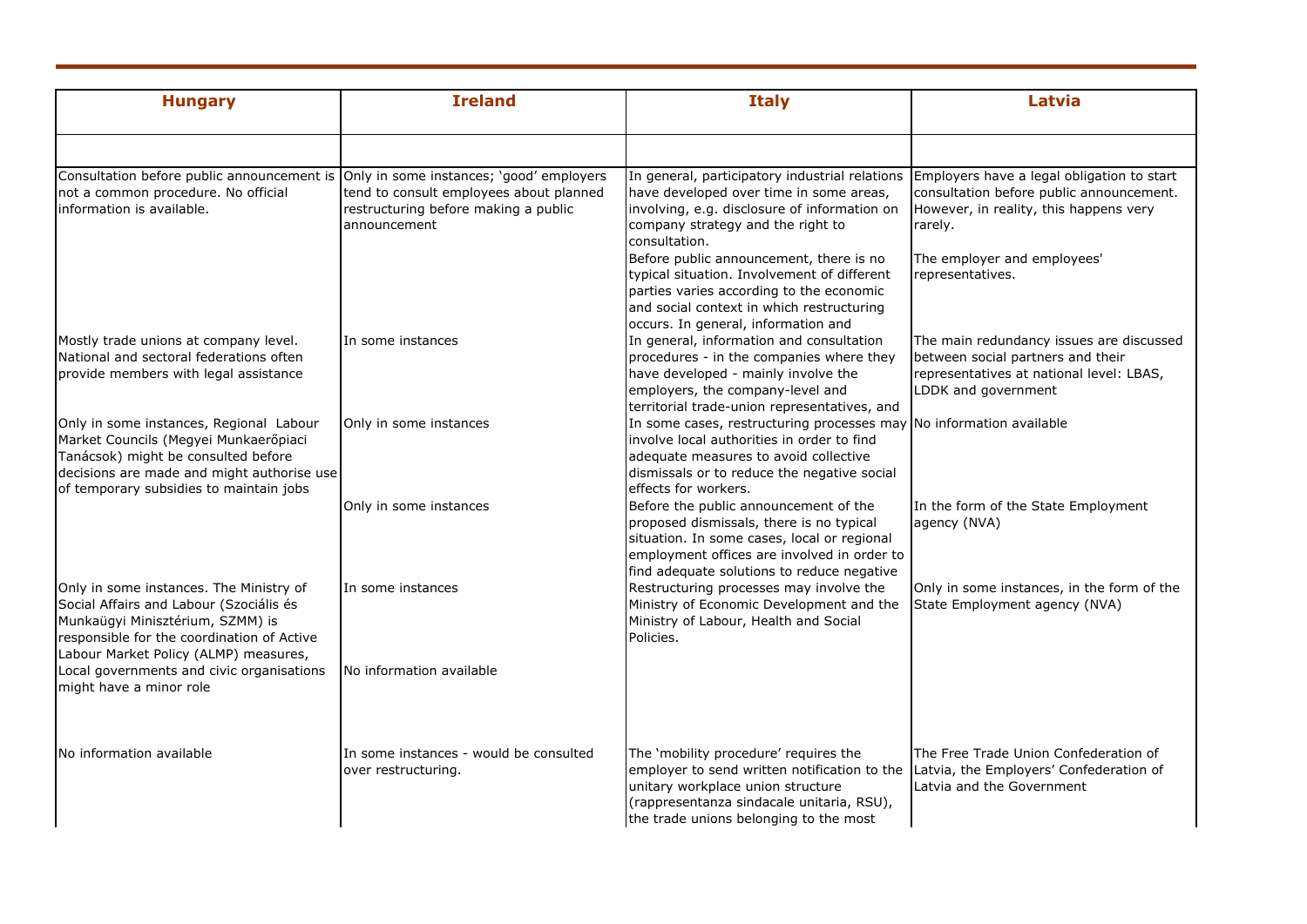| <b>Hungary</b>                                                                                                                                                                                                   | <b>Ireland</b>                                                                                  | <b>Italy</b>                                                                                                                                                                                                                  | Latvia                                                                                                                                           |
|------------------------------------------------------------------------------------------------------------------------------------------------------------------------------------------------------------------|-------------------------------------------------------------------------------------------------|-------------------------------------------------------------------------------------------------------------------------------------------------------------------------------------------------------------------------------|--------------------------------------------------------------------------------------------------------------------------------------------------|
| Consultation before public announcement is                                                                                                                                                                       | Only in some instances; 'good' employers                                                        | In general, participatory industrial relations                                                                                                                                                                                | Employers have a legal obligation to start                                                                                                       |
| not a common procedure. No official<br>information is available.                                                                                                                                                 | tend to consult employees about planned<br>restructuring before making a public<br>announcement | have developed over time in some areas,<br>involving, e.g. disclosure of information on<br>company strategy and the right to<br>consultation.                                                                                 | consultation before public announcement.<br>However, in reality, this happens very<br>rarely.                                                    |
|                                                                                                                                                                                                                  |                                                                                                 | Before public announcement, there is no<br>typical situation. Involvement of different<br>parties varies according to the economic<br>and social context in which restructuring<br>occurs. In general, information and        | The employer and employees'<br>representatives.                                                                                                  |
| Mostly trade unions at company level.<br>National and sectoral federations often<br>provide members with legal assistance                                                                                        | In some instances                                                                               | In general, information and consultation<br>procedures - in the companies where they<br>have developed - mainly involve the<br>employers, the company-level and<br>territorial trade-union representatives, and               | The main redundancy issues are discussed<br>between social partners and their<br>representatives at national level: LBAS,<br>LDDK and government |
| Only in some instances, Regional Labour<br>Market Councils (Megyei Munkaerőpiaci<br>Tanácsok) might be consulted before<br>decisions are made and might authorise use<br>of temporary subsidies to maintain jobs | Only in some instances                                                                          | In some cases, restructuring processes may<br>involve local authorities in order to find<br>adequate measures to avoid collective<br>dismissals or to reduce the negative social<br>effects for workers.                      | No information available                                                                                                                         |
|                                                                                                                                                                                                                  | Only in some instances                                                                          | Before the public announcement of the<br>proposed dismissals, there is no typical<br>situation. In some cases, local or regional<br>employment offices are involved in order to<br>find adequate solutions to reduce negative | In the form of the State Employment<br>agency (NVA)                                                                                              |
| Only in some instances. The Ministry of<br>Social Affairs and Labour (Szociális és<br>Munkaügyi Minisztérium, SZMM) is<br>responsible for the coordination of Active<br>Labour Market Policy (ALMP) measures,    | In some instances                                                                               | Restructuring processes may involve the<br>Ministry of Economic Development and the<br>Ministry of Labour, Health and Social<br>Policies.                                                                                     | Only in some instances, in the form of the<br>State Employment agency (NVA)                                                                      |
| Local governments and civic organisations<br>might have a minor role                                                                                                                                             | No information available                                                                        |                                                                                                                                                                                                                               |                                                                                                                                                  |
| No information available                                                                                                                                                                                         | In some instances - would be consulted<br>over restructuring.                                   | The 'mobility procedure' requires the<br>employer to send written notification to the<br>unitary workplace union structure<br>(rappresentanza sindacale unitaria, RSU),<br>the trade unions belonging to the most             | The Free Trade Union Confederation of<br>Latvia, the Employers' Confederation of<br>Latvia and the Government                                    |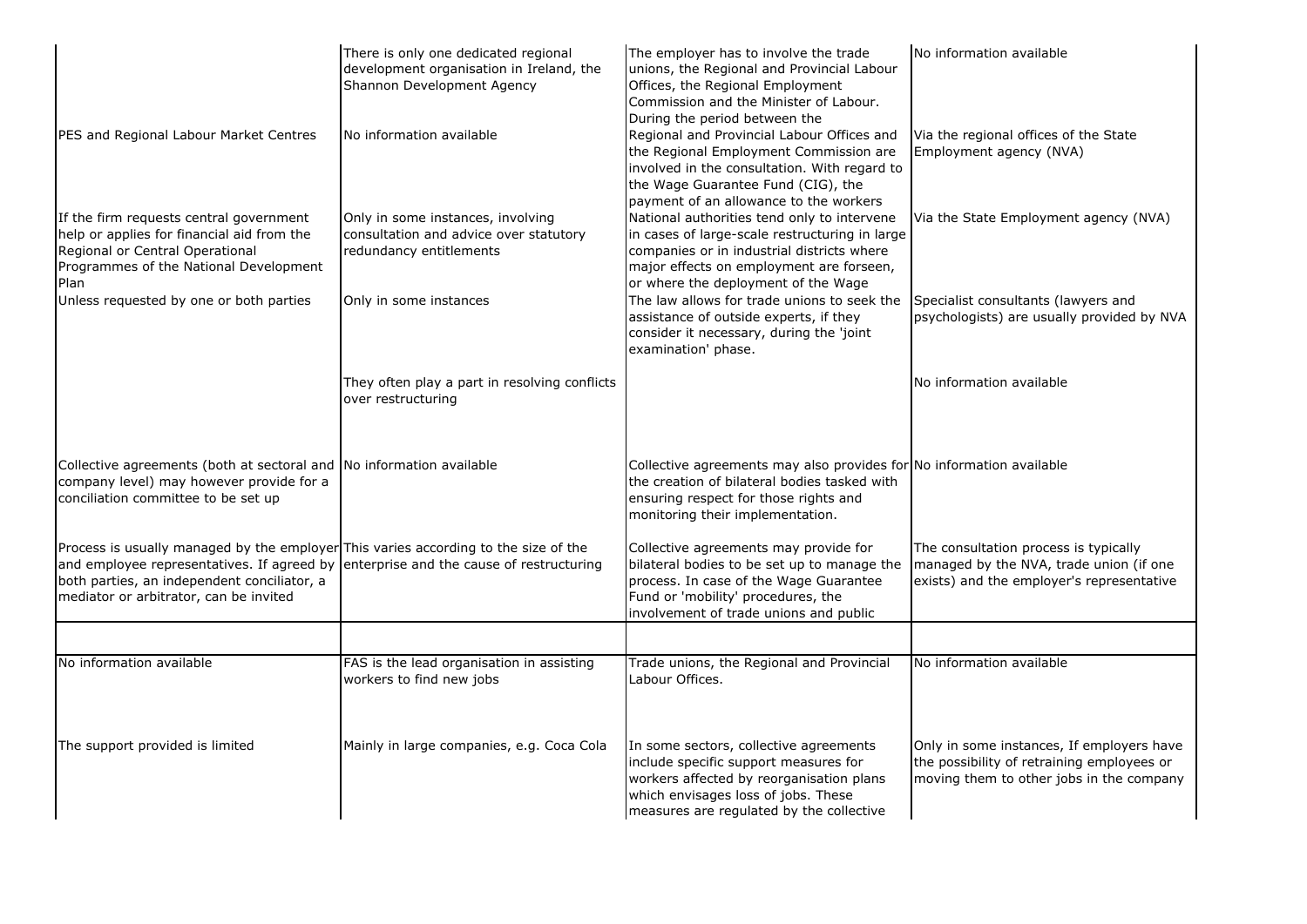|                                                                                                                                                                                                                                                                      | There is only one dedicated regional<br>development organisation in Ireland, the<br>Shannon Development Agency | The employer has to involve the trade<br>unions, the Regional and Provincial Labour<br>Offices, the Regional Employment<br>Commission and the Minister of Labour.<br>During the period between the                             | No information available                                                                                                            |
|----------------------------------------------------------------------------------------------------------------------------------------------------------------------------------------------------------------------------------------------------------------------|----------------------------------------------------------------------------------------------------------------|--------------------------------------------------------------------------------------------------------------------------------------------------------------------------------------------------------------------------------|-------------------------------------------------------------------------------------------------------------------------------------|
| PES and Regional Labour Market Centres                                                                                                                                                                                                                               | No information available                                                                                       | Regional and Provincial Labour Offices and<br>the Regional Employment Commission are<br>involved in the consultation. With regard to<br>the Wage Guarantee Fund (CIG), the<br>payment of an allowance to the workers           | Via the regional offices of the State<br>Employment agency (NVA)                                                                    |
| If the firm requests central government<br>help or applies for financial aid from the<br>Regional or Central Operational<br>Programmes of the National Development<br>Plan                                                                                           | Only in some instances, involving<br>consultation and advice over statutory<br>redundancy entitlements         | National authorities tend only to intervene<br>in cases of large-scale restructuring in large<br>companies or in industrial districts where<br>major effects on employment are forseen,<br>or where the deployment of the Wage | Via the State Employment agency (NVA)                                                                                               |
| Unless requested by one or both parties                                                                                                                                                                                                                              | Only in some instances                                                                                         | The law allows for trade unions to seek the<br>assistance of outside experts, if they<br>consider it necessary, during the 'joint<br>examination' phase.                                                                       | Specialist consultants (lawyers and<br>psychologists) are usually provided by NVA                                                   |
|                                                                                                                                                                                                                                                                      | They often play a part in resolving conflicts<br>over restructuring                                            |                                                                                                                                                                                                                                | No information available                                                                                                            |
| Collective agreements (both at sectoral and No information available<br>company level) may however provide for a<br>conciliation committee to be set up                                                                                                              |                                                                                                                | Collective agreements may also provides for No information available<br>the creation of bilateral bodies tasked with<br>ensuring respect for those rights and<br>monitoring their implementation.                              |                                                                                                                                     |
| Process is usually managed by the employer This varies according to the size of the<br>and employee representatives. If agreed by enterprise and the cause of restructuring<br>both parties, an independent conciliator, a<br>mediator or arbitrator, can be invited |                                                                                                                | Collective agreements may provide for<br>bilateral bodies to be set up to manage the<br>process. In case of the Wage Guarantee<br>Fund or 'mobility' procedures, the<br>involvement of trade unions and public                 | The consultation process is typically<br>managed by the NVA, trade union (if one<br>exists) and the employer's representative       |
|                                                                                                                                                                                                                                                                      |                                                                                                                |                                                                                                                                                                                                                                |                                                                                                                                     |
| No information available                                                                                                                                                                                                                                             | FAS is the lead organisation in assisting<br>workers to find new jobs                                          | Trade unions, the Regional and Provincial<br>Labour Offices.                                                                                                                                                                   | No information available                                                                                                            |
| The support provided is limited                                                                                                                                                                                                                                      | Mainly in large companies, e.g. Coca Cola                                                                      | In some sectors, collective agreements<br>include specific support measures for<br>workers affected by reorganisation plans<br>which envisages loss of jobs. These<br>measures are regulated by the collective                 | Only in some instances, If employers have<br>the possibility of retraining employees or<br>moving them to other jobs in the company |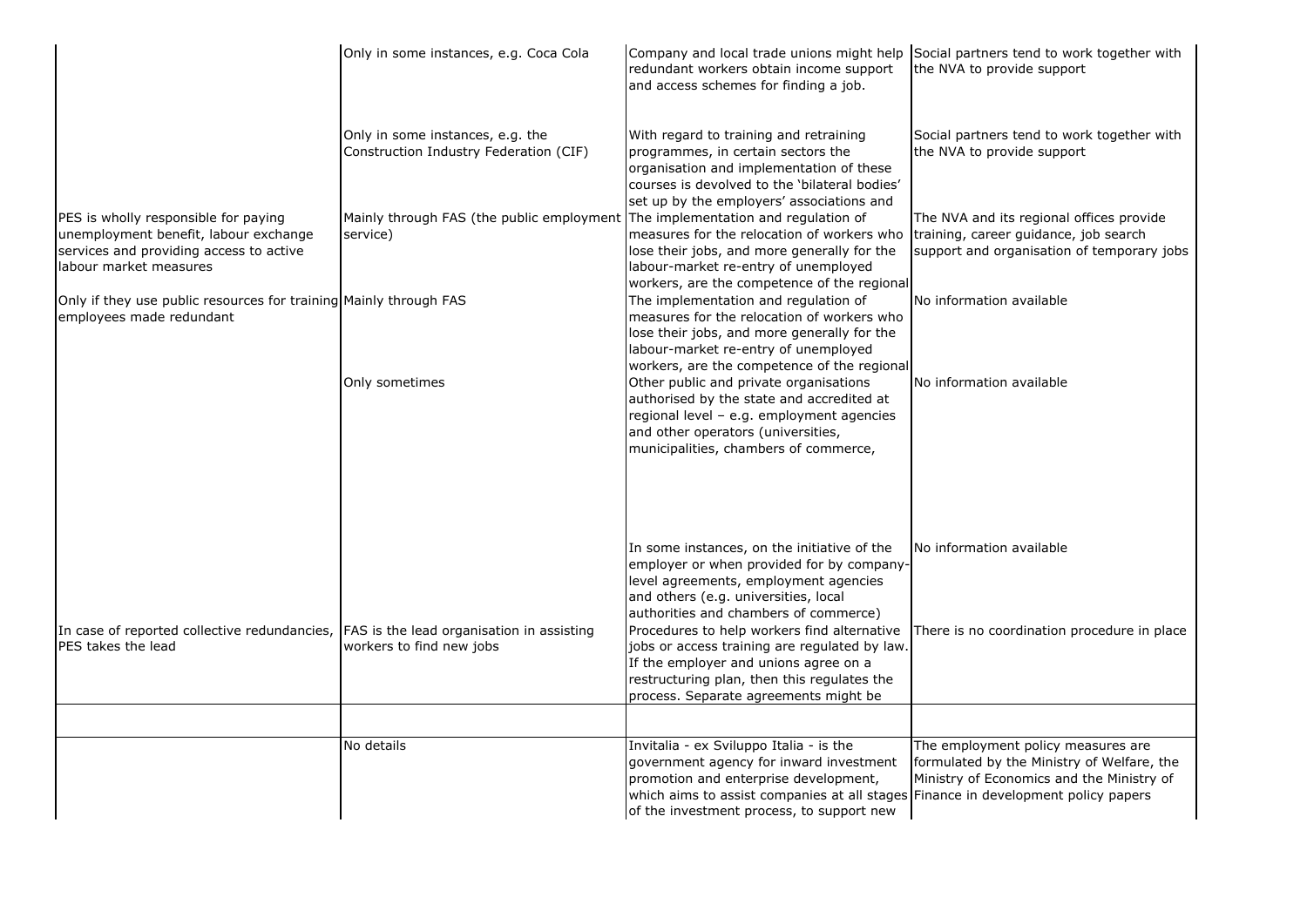|                                                                                                                                                    | Only in some instances, e.g. Coca Cola                                                     | Company and local trade unions might help Social partners tend to work together with<br>redundant workers obtain income support<br>and access schemes for finding a job.                                                                                                                                                                                                                                                                            | the NVA to provide support                                                                                                      |
|----------------------------------------------------------------------------------------------------------------------------------------------------|--------------------------------------------------------------------------------------------|-----------------------------------------------------------------------------------------------------------------------------------------------------------------------------------------------------------------------------------------------------------------------------------------------------------------------------------------------------------------------------------------------------------------------------------------------------|---------------------------------------------------------------------------------------------------------------------------------|
|                                                                                                                                                    | Only in some instances, e.g. the<br>Construction Industry Federation (CIF)                 | With regard to training and retraining<br>programmes, in certain sectors the<br>organisation and implementation of these<br>courses is devolved to the 'bilateral bodies'<br>set up by the employers' associations and                                                                                                                                                                                                                              | Social partners tend to work together with<br>the NVA to provide support                                                        |
| PES is wholly responsible for paying<br>unemployment benefit, labour exchange<br>services and providing access to active<br>labour market measures | Mainly through FAS (the public employment The implementation and regulation of<br>service) | measures for the relocation of workers who<br>lose their jobs, and more generally for the<br>labour-market re-entry of unemployed<br>workers, are the competence of the regional                                                                                                                                                                                                                                                                    | The NVA and its regional offices provide<br>training, career guidance, job search<br>support and organisation of temporary jobs |
| Only if they use public resources for training Mainly through FAS<br>employees made redundant                                                      |                                                                                            | The implementation and regulation of<br>measures for the relocation of workers who<br>lose their jobs, and more generally for the<br>labour-market re-entry of unemployed<br>workers, are the competence of the regional                                                                                                                                                                                                                            | No information available                                                                                                        |
|                                                                                                                                                    | Only sometimes                                                                             | Other public and private organisations<br>authorised by the state and accredited at<br>regional level - e.g. employment agencies<br>and other operators (universities,<br>municipalities, chambers of commerce,                                                                                                                                                                                                                                     | No information available                                                                                                        |
| In case of reported collective redundancies, FAS is the lead organisation in assisting<br>PES takes the lead                                       | workers to find new jobs                                                                   | In some instances, on the initiative of the<br>employer or when provided for by company-<br>level agreements, employment agencies<br>and others (e.g. universities, local<br>authorities and chambers of commerce)<br>Procedures to help workers find alternative<br>jobs or access training are regulated by law.<br>If the employer and unions agree on a<br>restructuring plan, then this regulates the<br>process. Separate agreements might be | No information available<br>There is no coordination procedure in place                                                         |
|                                                                                                                                                    |                                                                                            |                                                                                                                                                                                                                                                                                                                                                                                                                                                     |                                                                                                                                 |
|                                                                                                                                                    | No details                                                                                 | Invitalia - ex Sviluppo Italia - is the<br>government agency for inward investment<br>promotion and enterprise development,<br>which aims to assist companies at all stages Finance in development policy papers<br>of the investment process, to support new                                                                                                                                                                                       | The employment policy measures are<br>formulated by the Ministry of Welfare, the<br>Ministry of Economics and the Ministry of   |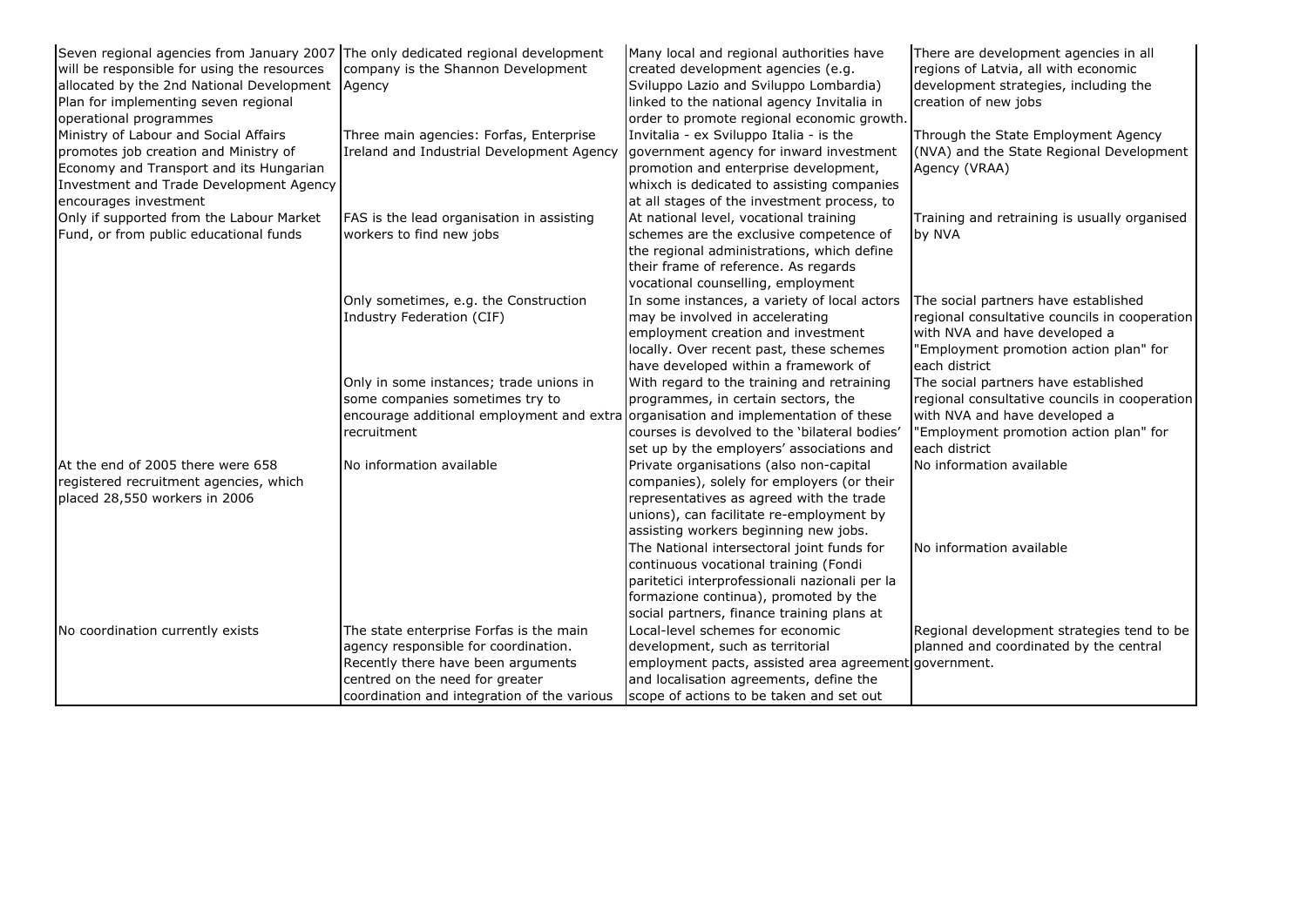| Seven regional agencies from January 2007 The only dedicated regional development |                                             | Many local and regional authorities have              | There are development agencies in all         |
|-----------------------------------------------------------------------------------|---------------------------------------------|-------------------------------------------------------|-----------------------------------------------|
| will be responsible for using the resources                                       | company is the Shannon Development          | created development agencies (e.g.                    | regions of Latvia, all with economic          |
| allocated by the 2nd National Development   Agency                                |                                             | Sviluppo Lazio and Sviluppo Lombardia)                | development strategies, including the         |
| Plan for implementing seven regional                                              |                                             | linked to the national agency Invitalia in            | creation of new jobs                          |
| operational programmes                                                            |                                             | order to promote regional economic growth.            |                                               |
| Ministry of Labour and Social Affairs                                             | Three main agencies: Forfas, Enterprise     | Invitalia - ex Sviluppo Italia - is the               | Through the State Employment Agency           |
| promotes job creation and Ministry of                                             | Ireland and Industrial Development Agency   | government agency for inward investment               | (NVA) and the State Regional Development      |
| Economy and Transport and its Hungarian                                           |                                             | promotion and enterprise development,                 | Agency (VRAA)                                 |
| Investment and Trade Development Agency                                           |                                             | whixch is dedicated to assisting companies            |                                               |
| encourages investment                                                             |                                             | at all stages of the investment process, to           |                                               |
| Only if supported from the Labour Market                                          | FAS is the lead organisation in assisting   | At national level, vocational training                | Training and retraining is usually organised  |
| Fund, or from public educational funds                                            | workers to find new jobs                    | schemes are the exclusive competence of               | by NVA                                        |
|                                                                                   |                                             | the regional administrations, which define            |                                               |
|                                                                                   |                                             | their frame of reference. As regards                  |                                               |
|                                                                                   |                                             | vocational counselling, employment                    |                                               |
|                                                                                   | Only sometimes, e.g. the Construction       | In some instances, a variety of local actors          | The social partners have established          |
|                                                                                   | Industry Federation (CIF)                   | may be involved in accelerating                       | regional consultative councils in cooperation |
|                                                                                   |                                             | employment creation and investment                    | with NVA and have developed a                 |
|                                                                                   |                                             | locally. Over recent past, these schemes              | 'Employment promotion action plan" for        |
|                                                                                   |                                             | have developed within a framework of                  | each district                                 |
|                                                                                   | Only in some instances; trade unions in     | With regard to the training and retraining            | The social partners have established          |
|                                                                                   | some companies sometimes try to             | programmes, in certain sectors, the                   | regional consultative councils in cooperation |
|                                                                                   | encourage additional employment and extra   | organisation and implementation of these              | with NVA and have developed a                 |
|                                                                                   | recruitment                                 | courses is devolved to the 'bilateral bodies'         | 'Employment promotion action plan" for        |
|                                                                                   |                                             | set up by the employers' associations and             | each district                                 |
| At the end of 2005 there were 658                                                 | No information available                    | Private organisations (also non-capital               | No information available                      |
| registered recruitment agencies, which                                            |                                             | companies), solely for employers (or their            |                                               |
| placed 28,550 workers in 2006                                                     |                                             | representatives as agreed with the trade              |                                               |
|                                                                                   |                                             | unions), can facilitate re-employment by              |                                               |
|                                                                                   |                                             | assisting workers beginning new jobs.                 |                                               |
|                                                                                   |                                             | The National intersectoral joint funds for            | No information available                      |
|                                                                                   |                                             | continuous vocational training (Fondi                 |                                               |
|                                                                                   |                                             | paritetici interprofessionali nazionali per la        |                                               |
|                                                                                   |                                             | formazione continua), promoted by the                 |                                               |
|                                                                                   |                                             | social partners, finance training plans at            |                                               |
| No coordination currently exists                                                  | The state enterprise Forfas is the main     | Local-level schemes for economic                      | Regional development strategies tend to be    |
|                                                                                   | agency responsible for coordination.        | development, such as territorial                      | planned and coordinated by the central        |
|                                                                                   | Recently there have been arguments          | employment pacts, assisted area agreement government. |                                               |
|                                                                                   | centred on the need for greater             | and localisation agreements, define the               |                                               |
|                                                                                   | coordination and integration of the various | scope of actions to be taken and set out              |                                               |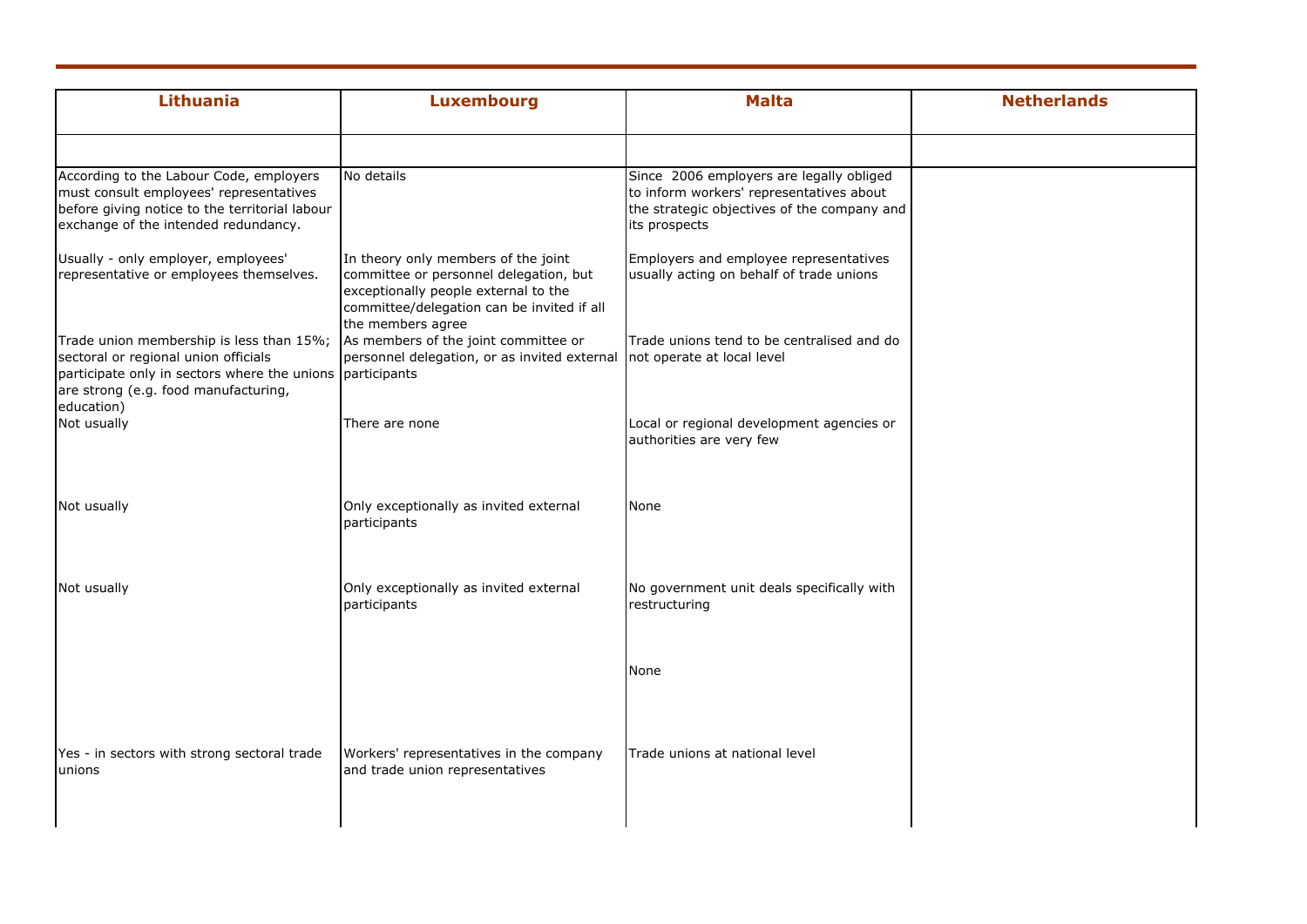| <b>Luxembourg</b>                                                                                                                                                   | <b>Malta</b>                                                                                                                                         | <b>Netherlands</b> |
|---------------------------------------------------------------------------------------------------------------------------------------------------------------------|------------------------------------------------------------------------------------------------------------------------------------------------------|--------------------|
| No details                                                                                                                                                          | Since 2006 employers are legally obliged<br>to inform workers' representatives about<br>the strategic objectives of the company and<br>its prospects |                    |
| In theory only members of the joint<br>committee or personnel delegation, but<br>exceptionally people external to the<br>committee/delegation can be invited if all | Employers and employee representatives<br>usually acting on behalf of trade unions                                                                   |                    |
| As members of the joint committee or<br>personnel delegation, or as invited external                                                                                | Trade unions tend to be centralised and do<br>not operate at local level                                                                             |                    |
| There are none                                                                                                                                                      | Local or regional development agencies or<br>authorities are very few                                                                                |                    |
| Only exceptionally as invited external<br>participants                                                                                                              | None                                                                                                                                                 |                    |
| Only exceptionally as invited external<br>participants                                                                                                              | No government unit deals specifically with<br>restructuring                                                                                          |                    |
|                                                                                                                                                                     | None                                                                                                                                                 |                    |
| Workers' representatives in the company<br>and trade union representatives                                                                                          | Trade unions at national level                                                                                                                       |                    |
|                                                                                                                                                                     | the members agree<br>participate only in sectors where the unions participants                                                                       |                    |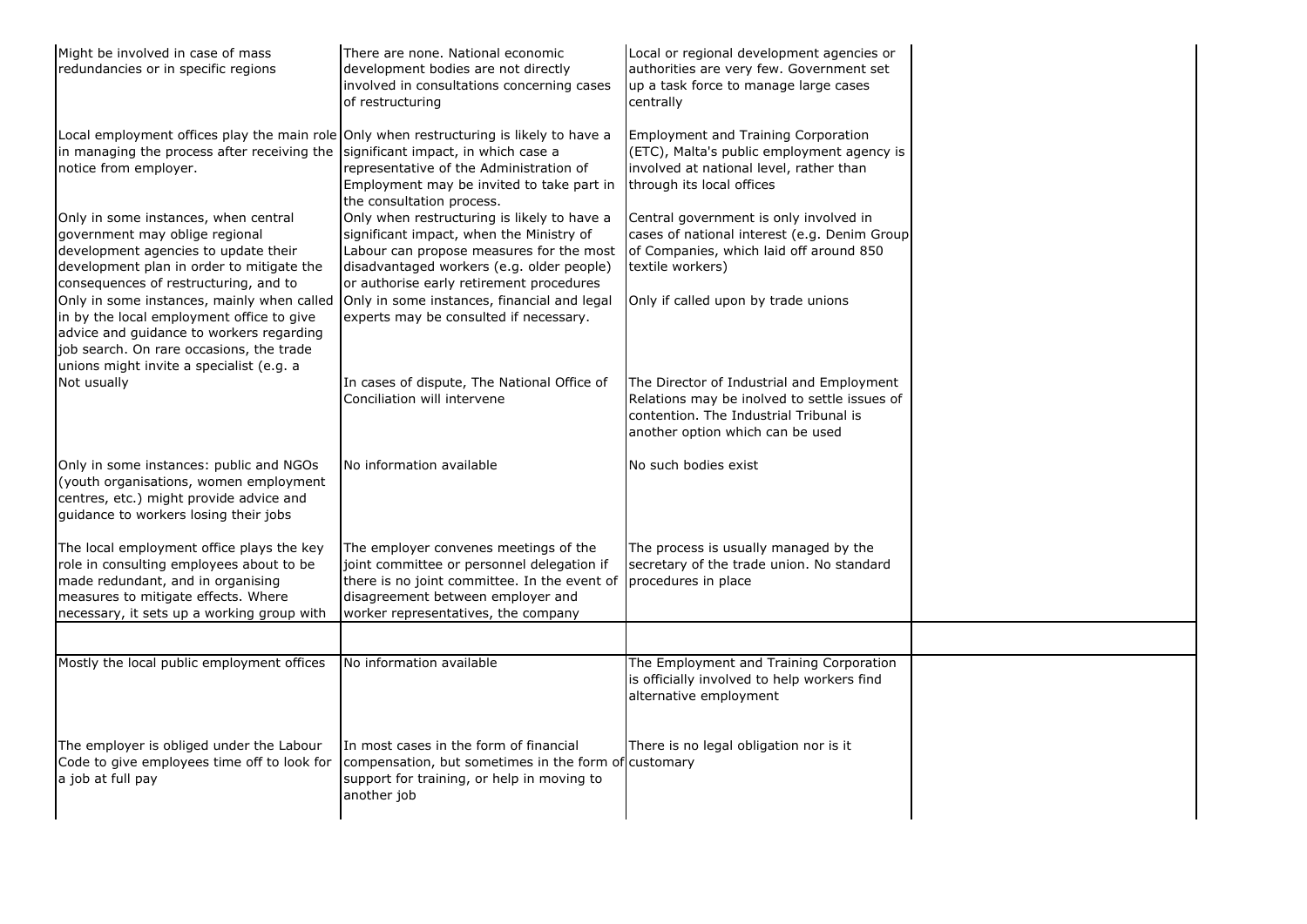| Might be involved in case of mass<br>redundancies or in specific regions                                                                                                                                                    | There are none. National economic<br>development bodies are not directly<br>involved in consultations concerning cases<br>of restructuring                                                                                   | Local or regional development agencies or<br>authorities are very few. Government set<br>up a task force to manage large cases<br>centrally                             |  |
|-----------------------------------------------------------------------------------------------------------------------------------------------------------------------------------------------------------------------------|------------------------------------------------------------------------------------------------------------------------------------------------------------------------------------------------------------------------------|-------------------------------------------------------------------------------------------------------------------------------------------------------------------------|--|
| Local employment offices play the main role Only when restructuring is likely to have a<br>in managing the process after receiving the significant impact, in which case a<br>notice from employer.                         | representative of the Administration of<br>Employment may be invited to take part in<br>the consultation process.                                                                                                            | Employment and Training Corporation<br>(ETC), Malta's public employment agency is<br>involved at national level, rather than<br>through its local offices               |  |
| Only in some instances, when central<br>government may oblige regional<br>development agencies to update their<br>development plan in order to mitigate the<br>consequences of restructuring, and to                        | Only when restructuring is likely to have a<br>significant impact, when the Ministry of<br>Labour can propose measures for the most<br>disadvantaged workers (e.g. older people)<br>or authorise early retirement procedures | Central government is only involved in<br>cases of national interest (e.g. Denim Group<br>of Companies, which laid off around 850<br>textile workers)                   |  |
| Only in some instances, mainly when called<br>in by the local employment office to give<br>advice and guidance to workers regarding<br>job search. On rare occasions, the trade<br>unions might invite a specialist (e.g. a | Only in some instances, financial and legal<br>experts may be consulted if necessary.                                                                                                                                        | Only if called upon by trade unions                                                                                                                                     |  |
| Not usually                                                                                                                                                                                                                 | In cases of dispute, The National Office of<br>Conciliation will intervene                                                                                                                                                   | The Director of Industrial and Employment<br>Relations may be inolved to settle issues of<br>contention. The Industrial Tribunal is<br>another option which can be used |  |
| Only in some instances: public and NGOs<br>(youth organisations, women employment<br>centres, etc.) might provide advice and<br>guidance to workers losing their jobs                                                       | No information available                                                                                                                                                                                                     | No such bodies exist                                                                                                                                                    |  |
| The local employment office plays the key<br>role in consulting employees about to be<br>made redundant, and in organising<br>measures to mitigate effects. Where<br>necessary, it sets up a working group with             | The employer convenes meetings of the<br>joint committee or personnel delegation if<br>there is no joint committee. In the event of<br>disagreement between employer and<br>worker representatives, the company              | The process is usually managed by the<br>secretary of the trade union. No standard<br>procedures in place                                                               |  |
|                                                                                                                                                                                                                             |                                                                                                                                                                                                                              |                                                                                                                                                                         |  |
| Mostly the local public employment offices                                                                                                                                                                                  | No information available                                                                                                                                                                                                     | The Employment and Training Corporation<br>is officially involved to help workers find<br>alternative employment                                                        |  |
| The employer is obliged under the Labour<br>Code to give employees time off to look for<br>a job at full pay                                                                                                                | In most cases in the form of financial<br>compensation, but sometimes in the form of customary<br>support for training, or help in moving to<br>another job                                                                  | There is no legal obligation nor is it                                                                                                                                  |  |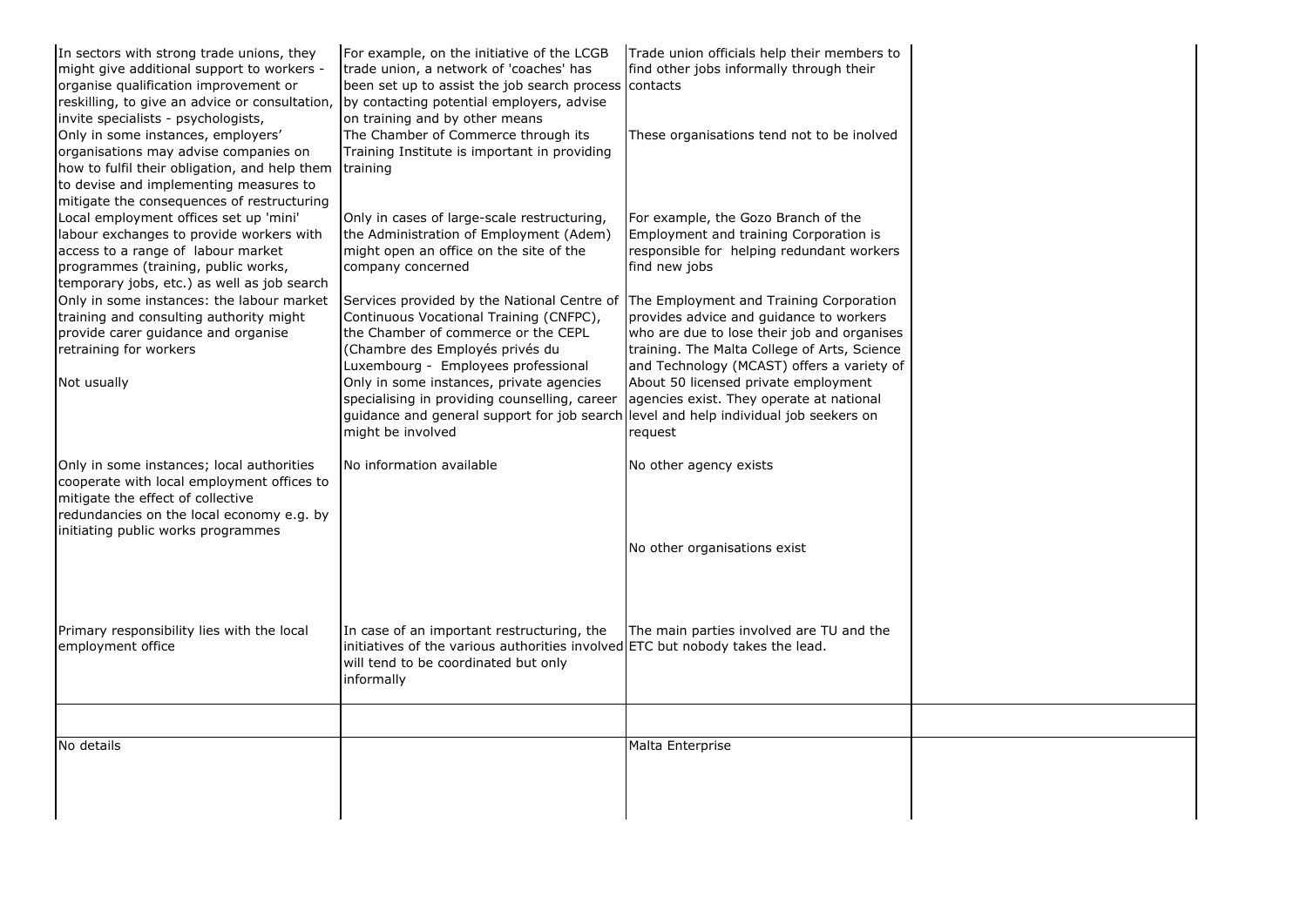| In sectors with strong trade unions, they      | For example, on the initiative of the LCGB                                          | Trade union officials help their members to  |  |
|------------------------------------------------|-------------------------------------------------------------------------------------|----------------------------------------------|--|
| might give additional support to workers -     | trade union, a network of 'coaches' has                                             | find other jobs informally through their     |  |
| organise qualification improvement or          | been set up to assist the job search process contacts                               |                                              |  |
| reskilling, to give an advice or consultation, | by contacting potential employers, advise                                           |                                              |  |
| invite specialists - psychologists,            | on training and by other means                                                      |                                              |  |
| Only in some instances, employers'             | The Chamber of Commerce through its                                                 | These organisations tend not to be inolved   |  |
| organisations may advise companies on          | Training Institute is important in providing                                        |                                              |  |
| how to fulfil their obligation, and help them  | training                                                                            |                                              |  |
| to devise and implementing measures to         |                                                                                     |                                              |  |
| mitigate the consequences of restructuring     |                                                                                     |                                              |  |
| Local employment offices set up 'mini'         | Only in cases of large-scale restructuring,                                         | For example, the Gozo Branch of the          |  |
| labour exchanges to provide workers with       | the Administration of Employment (Adem)                                             | Employment and training Corporation is       |  |
| access to a range of labour market             | might open an office on the site of the                                             | responsible for helping redundant workers    |  |
| programmes (training, public works,            | company concerned                                                                   | find new jobs                                |  |
| temporary jobs, etc.) as well as job search    |                                                                                     |                                              |  |
| Only in some instances: the labour market      | Services provided by the National Centre of The Employment and Training Corporation |                                              |  |
| training and consulting authority might        | Continuous Vocational Training (CNFPC),                                             | provides advice and guidance to workers      |  |
| provide carer guidance and organise            | the Chamber of commerce or the CEPL                                                 | who are due to lose their job and organises  |  |
| retraining for workers                         | (Chambre des Employés privés du                                                     | training. The Malta College of Arts, Science |  |
|                                                | Luxembourg - Employees professional                                                 | and Technology (MCAST) offers a variety of   |  |
| Not usually                                    | Only in some instances, private agencies                                            | About 50 licensed private employment         |  |
|                                                | specialising in providing counselling, career                                       | agencies exist. They operate at national     |  |
|                                                | guidance and general support for job search                                         | level and help individual job seekers on     |  |
|                                                | might be involved                                                                   | request                                      |  |
|                                                |                                                                                     |                                              |  |
| Only in some instances; local authorities      | No information available                                                            | No other agency exists                       |  |
| cooperate with local employment offices to     |                                                                                     |                                              |  |
| mitigate the effect of collective              |                                                                                     |                                              |  |
| redundancies on the local economy e.g. by      |                                                                                     |                                              |  |
| initiating public works programmes             |                                                                                     |                                              |  |
|                                                |                                                                                     | No other organisations exist                 |  |
|                                                |                                                                                     |                                              |  |
|                                                |                                                                                     |                                              |  |
|                                                |                                                                                     |                                              |  |
|                                                |                                                                                     |                                              |  |
| Primary responsibility lies with the local     | In case of an important restructuring, the                                          | The main parties involved are TU and the     |  |
| employment office                              | initiatives of the various authorities involved ETC but nobody takes the lead.      |                                              |  |
|                                                | will tend to be coordinated but only                                                |                                              |  |
|                                                | informally                                                                          |                                              |  |
|                                                |                                                                                     |                                              |  |
|                                                |                                                                                     |                                              |  |
|                                                |                                                                                     |                                              |  |
| No details                                     |                                                                                     | Malta Enterprise                             |  |
|                                                |                                                                                     |                                              |  |
|                                                |                                                                                     |                                              |  |
|                                                |                                                                                     |                                              |  |
|                                                |                                                                                     |                                              |  |
|                                                |                                                                                     |                                              |  |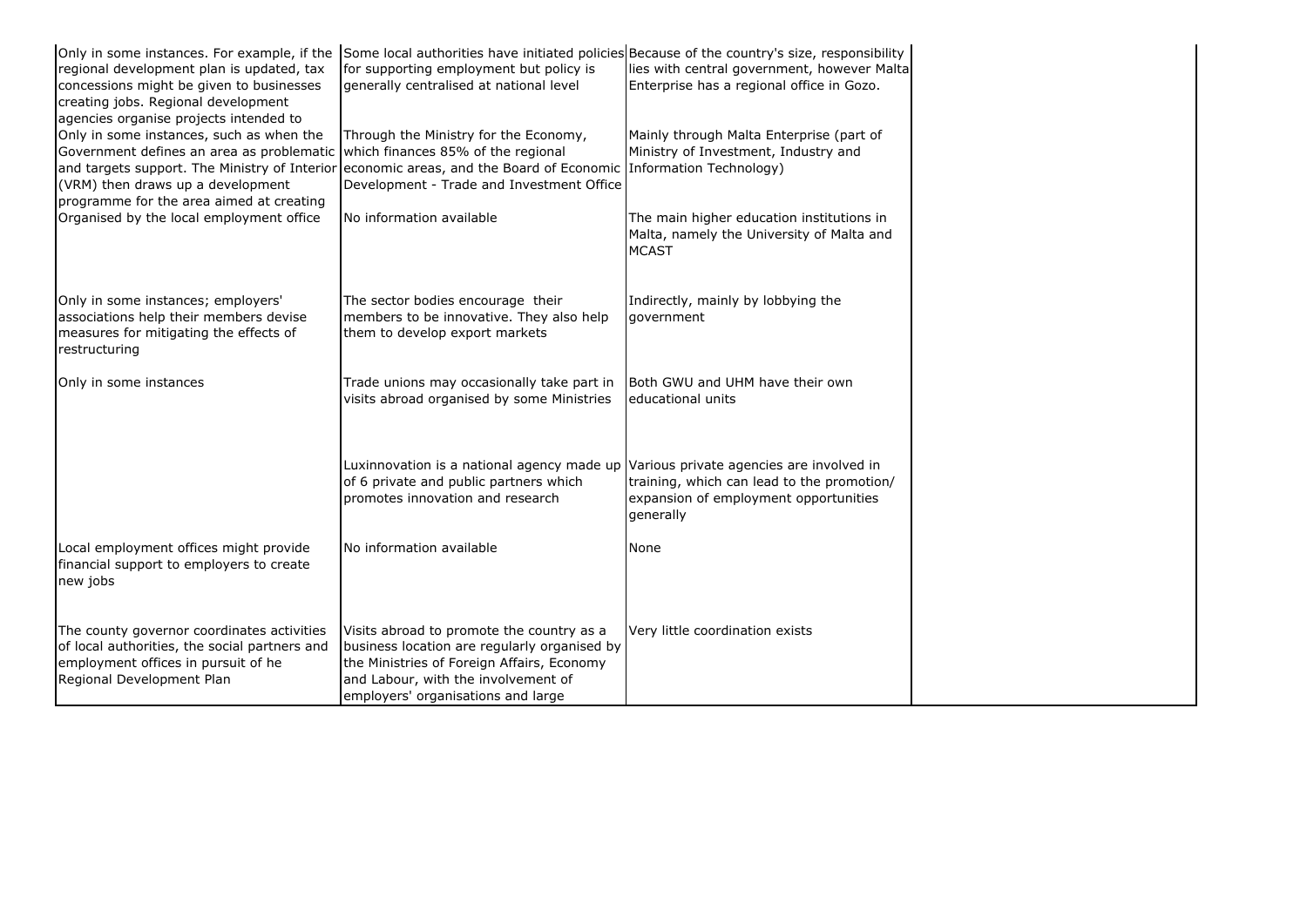| Only in some instances. For example, if the<br>regional development plan is updated, tax<br>concessions might be given to businesses<br>creating jobs. Regional development<br>agencies organise projects intended to                                             | Some local authorities have initiated policies Because of the country's size, responsibility<br>for supporting employment but policy is<br>generally centralised at national level                                   | lies with central government, however Malta<br>Enterprise has a regional office in Gozo.                                                     |
|-------------------------------------------------------------------------------------------------------------------------------------------------------------------------------------------------------------------------------------------------------------------|----------------------------------------------------------------------------------------------------------------------------------------------------------------------------------------------------------------------|----------------------------------------------------------------------------------------------------------------------------------------------|
| Only in some instances, such as when the<br>Government defines an area as problematic<br>and targets support. The Ministry of Interior economic areas, and the Board of Economic<br>(VRM) then draws up a development<br>programme for the area aimed at creating | Through the Ministry for the Economy,<br>which finances 85% of the regional<br>Development - Trade and Investment Office                                                                                             | Mainly through Malta Enterprise (part of<br>Ministry of Investment, Industry and<br>Information Technology)                                  |
| Organised by the local employment office                                                                                                                                                                                                                          | No information available                                                                                                                                                                                             | The main higher education institutions in<br>Malta, namely the University of Malta and<br><b>MCAST</b>                                       |
| Only in some instances; employers'<br>associations help their members devise<br>measures for mitigating the effects of<br>restructuring                                                                                                                           | The sector bodies encourage their<br>members to be innovative. They also help<br>them to develop export markets                                                                                                      | Indirectly, mainly by lobbying the<br>government                                                                                             |
| Only in some instances                                                                                                                                                                                                                                            | Trade unions may occasionally take part in<br>visits abroad organised by some Ministries                                                                                                                             | Both GWU and UHM have their own<br>educational units                                                                                         |
|                                                                                                                                                                                                                                                                   | Luxinnovation is a national agency made up<br>of 6 private and public partners which<br>promotes innovation and research                                                                                             | Various private agencies are involved in<br>training, which can lead to the promotion/<br>expansion of employment opportunities<br>generally |
| Local employment offices might provide<br>financial support to employers to create<br>new jobs                                                                                                                                                                    | No information available                                                                                                                                                                                             | None                                                                                                                                         |
| The county governor coordinates activities<br>of local authorities, the social partners and<br>employment offices in pursuit of he<br>Regional Development Plan                                                                                                   | Visits abroad to promote the country as a<br>business location are regularly organised by<br>the Ministries of Foreign Affairs, Economy<br>and Labour, with the involvement of<br>employers' organisations and large | Very little coordination exists                                                                                                              |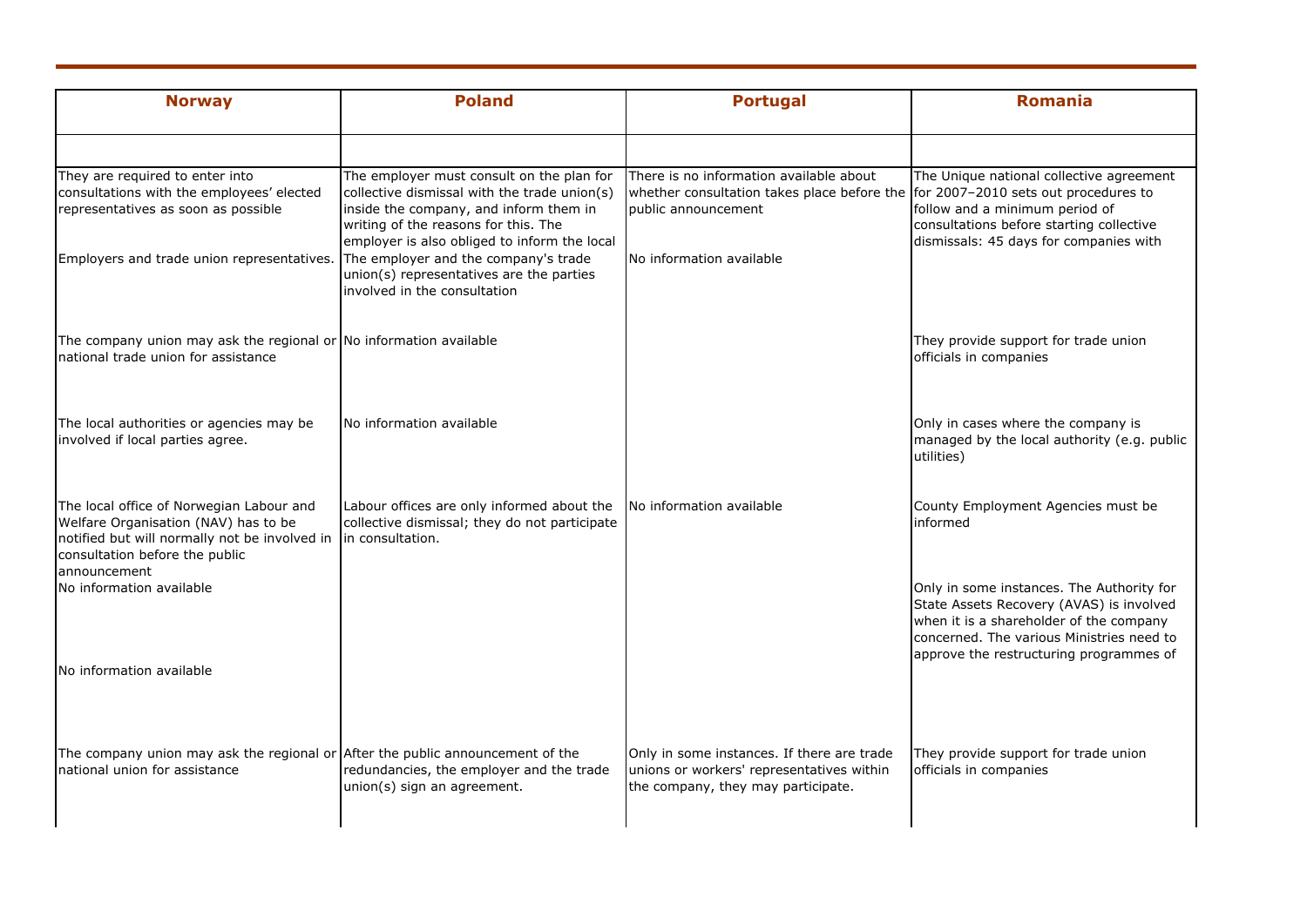| <b>Norway</b>                                                                                                                                                                                        | <b>Poland</b>                                                                                                                                                                                                               | <b>Portugal</b>                                                                                                                                    | <b>Romania</b>                                                                                                                                                                                                           |
|------------------------------------------------------------------------------------------------------------------------------------------------------------------------------------------------------|-----------------------------------------------------------------------------------------------------------------------------------------------------------------------------------------------------------------------------|----------------------------------------------------------------------------------------------------------------------------------------------------|--------------------------------------------------------------------------------------------------------------------------------------------------------------------------------------------------------------------------|
|                                                                                                                                                                                                      |                                                                                                                                                                                                                             |                                                                                                                                                    |                                                                                                                                                                                                                          |
| They are required to enter into<br>consultations with the employees' elected<br>representatives as soon as possible                                                                                  | The employer must consult on the plan for<br>collective dismissal with the trade union(s)<br>inside the company, and inform them in<br>writing of the reasons for this. The<br>employer is also obliged to inform the local | There is no information available about<br>whether consultation takes place before the for 2007-2010 sets out procedures to<br>public announcement | The Unique national collective agreement<br>follow and a minimum period of<br>consultations before starting collective<br>dismissals: 45 days for companies with                                                         |
| Employers and trade union representatives.                                                                                                                                                           | The employer and the company's trade<br>union(s) representatives are the parties<br>involved in the consultation                                                                                                            | No information available                                                                                                                           |                                                                                                                                                                                                                          |
| The company union may ask the regional or No information available<br>national trade union for assistance                                                                                            |                                                                                                                                                                                                                             |                                                                                                                                                    | They provide support for trade union<br>officials in companies                                                                                                                                                           |
| The local authorities or agencies may be<br>involved if local parties agree.                                                                                                                         | No information available                                                                                                                                                                                                    |                                                                                                                                                    | Only in cases where the company is<br>managed by the local authority (e.g. public<br>utilities)                                                                                                                          |
| The local office of Norwegian Labour and<br>Welfare Organisation (NAV) has to be<br>notified but will normally not be involved in in consultation.<br>consultation before the public<br>announcement | Labour offices are only informed about the<br>collective dismissal; they do not participate                                                                                                                                 | No information available                                                                                                                           | County Employment Agencies must be<br>informed                                                                                                                                                                           |
| No information available                                                                                                                                                                             |                                                                                                                                                                                                                             |                                                                                                                                                    | Only in some instances. The Authority for<br>State Assets Recovery (AVAS) is involved<br>when it is a shareholder of the company<br>concerned. The various Ministries need to<br>approve the restructuring programmes of |
| No information available                                                                                                                                                                             |                                                                                                                                                                                                                             |                                                                                                                                                    |                                                                                                                                                                                                                          |
| The company union may ask the regional or After the public announcement of the<br>national union for assistance                                                                                      | redundancies, the employer and the trade<br>union(s) sign an agreement.                                                                                                                                                     | Only in some instances. If there are trade<br>unions or workers' representatives within<br>the company, they may participate.                      | They provide support for trade union<br>officials in companies                                                                                                                                                           |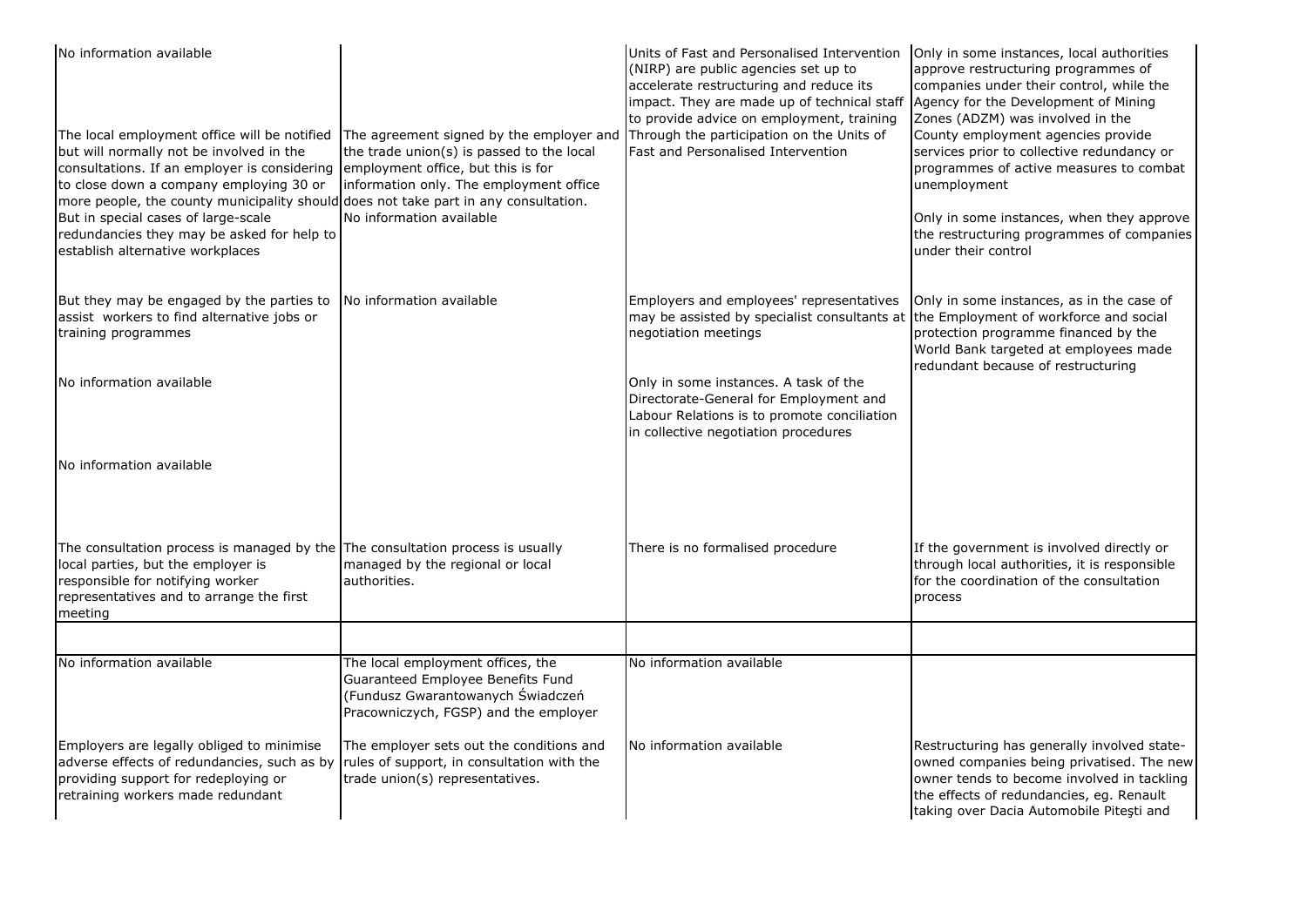| No information available<br>The local employment office will be notified<br>but will normally not be involved in the<br>consultations. If an employer is considering employment office, but this is for<br>to close down a company employing 30 or<br>more people, the county municipality should does not take part in any consultation.<br>But in special cases of large-scale<br>redundancies they may be asked for help to<br>establish alternative workplaces | The agreement signed by the employer and Through the participation on the Units of<br>the trade union(s) is passed to the local<br>information only. The employment office<br>No information available | Units of Fast and Personalised Intervention<br>(NIRP) are public agencies set up to<br>accelerate restructuring and reduce its<br>impact. They are made up of technical staff<br>to provide advice on employment, training<br>Fast and Personalised Intervention | Only in some instances, local authorities<br>approve restructuring programmes of<br>companies under their control, while the<br>Agency for the Development of Mining<br>Zones (ADZM) was involved in the<br>County employment agencies provide<br>services prior to collective redundancy or<br>programmes of active measures to combat<br>unemployment<br>Only in some instances, when they approve<br>the restructuring programmes of companies<br>under their control |
|--------------------------------------------------------------------------------------------------------------------------------------------------------------------------------------------------------------------------------------------------------------------------------------------------------------------------------------------------------------------------------------------------------------------------------------------------------------------|--------------------------------------------------------------------------------------------------------------------------------------------------------------------------------------------------------|------------------------------------------------------------------------------------------------------------------------------------------------------------------------------------------------------------------------------------------------------------------|--------------------------------------------------------------------------------------------------------------------------------------------------------------------------------------------------------------------------------------------------------------------------------------------------------------------------------------------------------------------------------------------------------------------------------------------------------------------------|
| But they may be engaged by the parties to<br>assist workers to find alternative jobs or<br>training programmes                                                                                                                                                                                                                                                                                                                                                     | No information available                                                                                                                                                                               | Employers and employees' representatives<br>may be assisted by specialist consultants at<br>negotiation meetings                                                                                                                                                 | Only in some instances, as in the case of<br>the Employment of workforce and social<br>protection programme financed by the<br>World Bank targeted at employees made<br>redundant because of restructuring                                                                                                                                                                                                                                                               |
| No information available                                                                                                                                                                                                                                                                                                                                                                                                                                           |                                                                                                                                                                                                        | Only in some instances. A task of the<br>Directorate-General for Employment and<br>Labour Relations is to promote conciliation<br>in collective negotiation procedures                                                                                           |                                                                                                                                                                                                                                                                                                                                                                                                                                                                          |
| No information available                                                                                                                                                                                                                                                                                                                                                                                                                                           |                                                                                                                                                                                                        |                                                                                                                                                                                                                                                                  |                                                                                                                                                                                                                                                                                                                                                                                                                                                                          |
| The consultation process is managed by the The consultation process is usually<br>local parties, but the employer is<br>responsible for notifying worker<br>representatives and to arrange the first<br>meeting                                                                                                                                                                                                                                                    | managed by the regional or local<br>authorities.                                                                                                                                                       | There is no formalised procedure                                                                                                                                                                                                                                 | If the government is involved directly or<br>through local authorities, it is responsible<br>for the coordination of the consultation<br>process                                                                                                                                                                                                                                                                                                                         |
|                                                                                                                                                                                                                                                                                                                                                                                                                                                                    |                                                                                                                                                                                                        |                                                                                                                                                                                                                                                                  |                                                                                                                                                                                                                                                                                                                                                                                                                                                                          |
| No information available                                                                                                                                                                                                                                                                                                                                                                                                                                           | The local employment offices, the<br>Guaranteed Employee Benefits Fund<br>(Fundusz Gwarantowanych Świadczeń<br>Pracowniczych, FGSP) and the employer                                                   | No information available                                                                                                                                                                                                                                         |                                                                                                                                                                                                                                                                                                                                                                                                                                                                          |
| Employers are legally obliged to minimise<br>adverse effects of redundancies, such as by<br>providing support for redeploying or<br>retraining workers made redundant                                                                                                                                                                                                                                                                                              | The employer sets out the conditions and<br>rules of support, in consultation with the<br>trade union(s) representatives.                                                                              | No information available                                                                                                                                                                                                                                         | Restructuring has generally involved state-<br>owned companies being privatised. The new<br>owner tends to become involved in tackling<br>the effects of redundancies, eg. Renault<br>taking over Dacia Automobile Pitesti and                                                                                                                                                                                                                                           |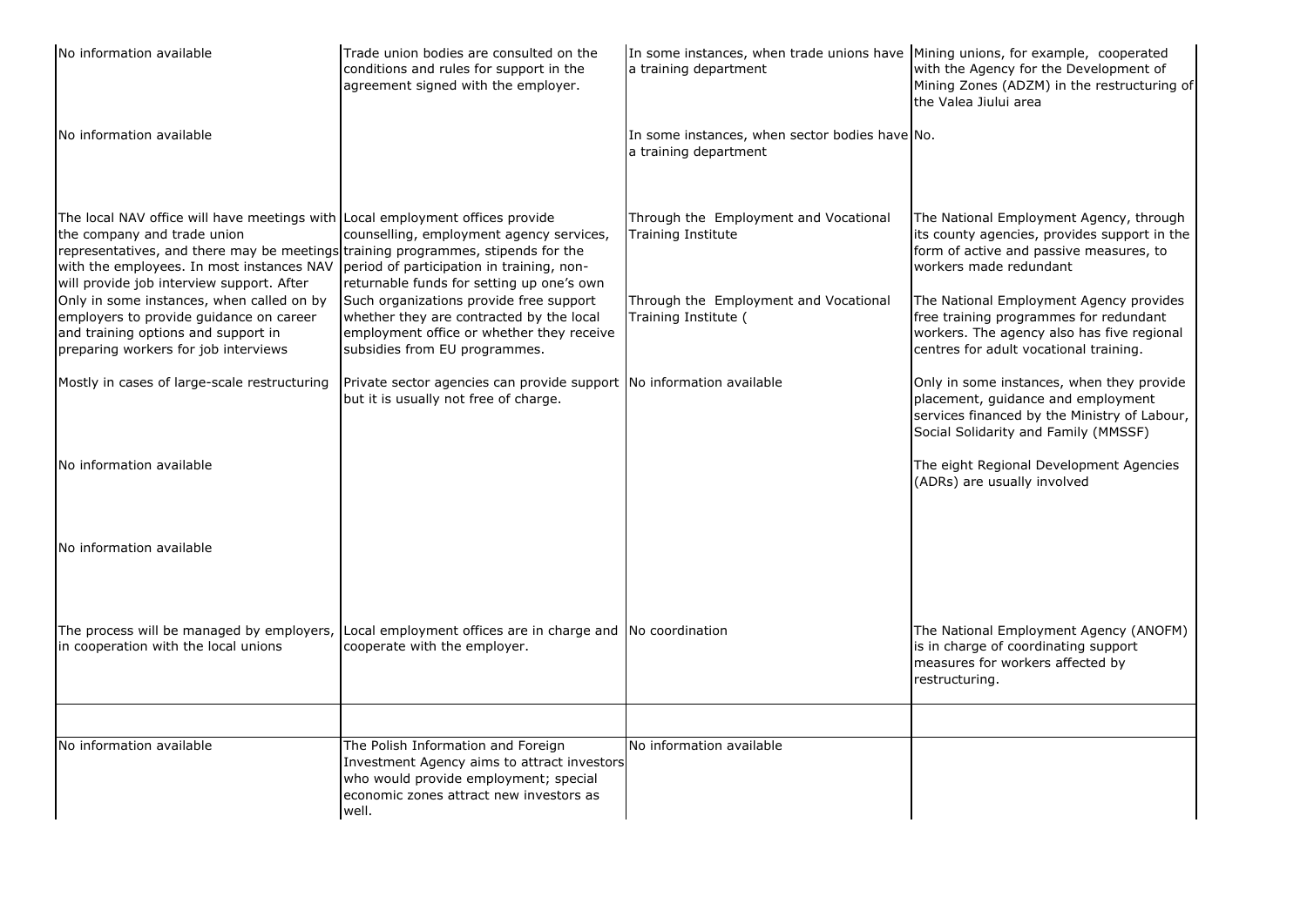| No information available                                                                                                                                                                                                                                                                   | Trade union bodies are consulted on the<br>conditions and rules for support in the<br>agreement signed with the employer.                                                      | In some instances, when trade unions have Mining unions, for example, cooperated<br>a training department | with the Agency for the Development of<br>Mining Zones (ADZM) in the restructuring of<br>the Valea Jiului area                                                            |
|--------------------------------------------------------------------------------------------------------------------------------------------------------------------------------------------------------------------------------------------------------------------------------------------|--------------------------------------------------------------------------------------------------------------------------------------------------------------------------------|-----------------------------------------------------------------------------------------------------------|---------------------------------------------------------------------------------------------------------------------------------------------------------------------------|
| No information available                                                                                                                                                                                                                                                                   |                                                                                                                                                                                | In some instances, when sector bodies have No.<br>a training department                                   |                                                                                                                                                                           |
| The local NAV office will have meetings with Local employment offices provide<br>the company and trade union<br>representatives, and there may be meetings training programmes, stipends for the<br>with the employees. In most instances NAV<br>will provide job interview support. After | counselling, employment agency services,<br>period of participation in training, non-<br>returnable funds for setting up one's own                                             | Through the Employment and Vocational<br><b>Training Institute</b>                                        | The National Employment Agency, through<br>its county agencies, provides support in the<br>form of active and passive measures, to<br>workers made redundant              |
| Only in some instances, when called on by<br>employers to provide guidance on career<br>and training options and support in<br>preparing workers for job interviews                                                                                                                        | Such organizations provide free support<br>whether they are contracted by the local<br>employment office or whether they receive<br>subsidies from EU programmes.              | Through the Employment and Vocational<br>Training Institute (                                             | The National Employment Agency provides<br>free training programmes for redundant<br>workers. The agency also has five regional<br>centres for adult vocational training. |
| Mostly in cases of large-scale restructuring                                                                                                                                                                                                                                               | Private sector agencies can provide support No information available<br>but it is usually not free of charge.                                                                  |                                                                                                           | Only in some instances, when they provide<br>placement, guidance and employment<br>services financed by the Ministry of Labour,<br>Social Solidarity and Family (MMSSF)   |
| No information available                                                                                                                                                                                                                                                                   |                                                                                                                                                                                |                                                                                                           | The eight Regional Development Agencies<br>(ADRs) are usually involved                                                                                                    |
| No information available                                                                                                                                                                                                                                                                   |                                                                                                                                                                                |                                                                                                           |                                                                                                                                                                           |
| in cooperation with the local unions                                                                                                                                                                                                                                                       | The process will be managed by employers, Local employment offices are in charge and No coordination<br>cooperate with the employer.                                           |                                                                                                           | The National Employment Agency (ANOFM)<br>is in charge of coordinating support<br>measures for workers affected by<br>restructuring.                                      |
|                                                                                                                                                                                                                                                                                            |                                                                                                                                                                                |                                                                                                           |                                                                                                                                                                           |
| No information available                                                                                                                                                                                                                                                                   | The Polish Information and Foreign<br>Investment Agency aims to attract investors<br>who would provide employment; special<br>economic zones attract new investors as<br>well. | No information available                                                                                  |                                                                                                                                                                           |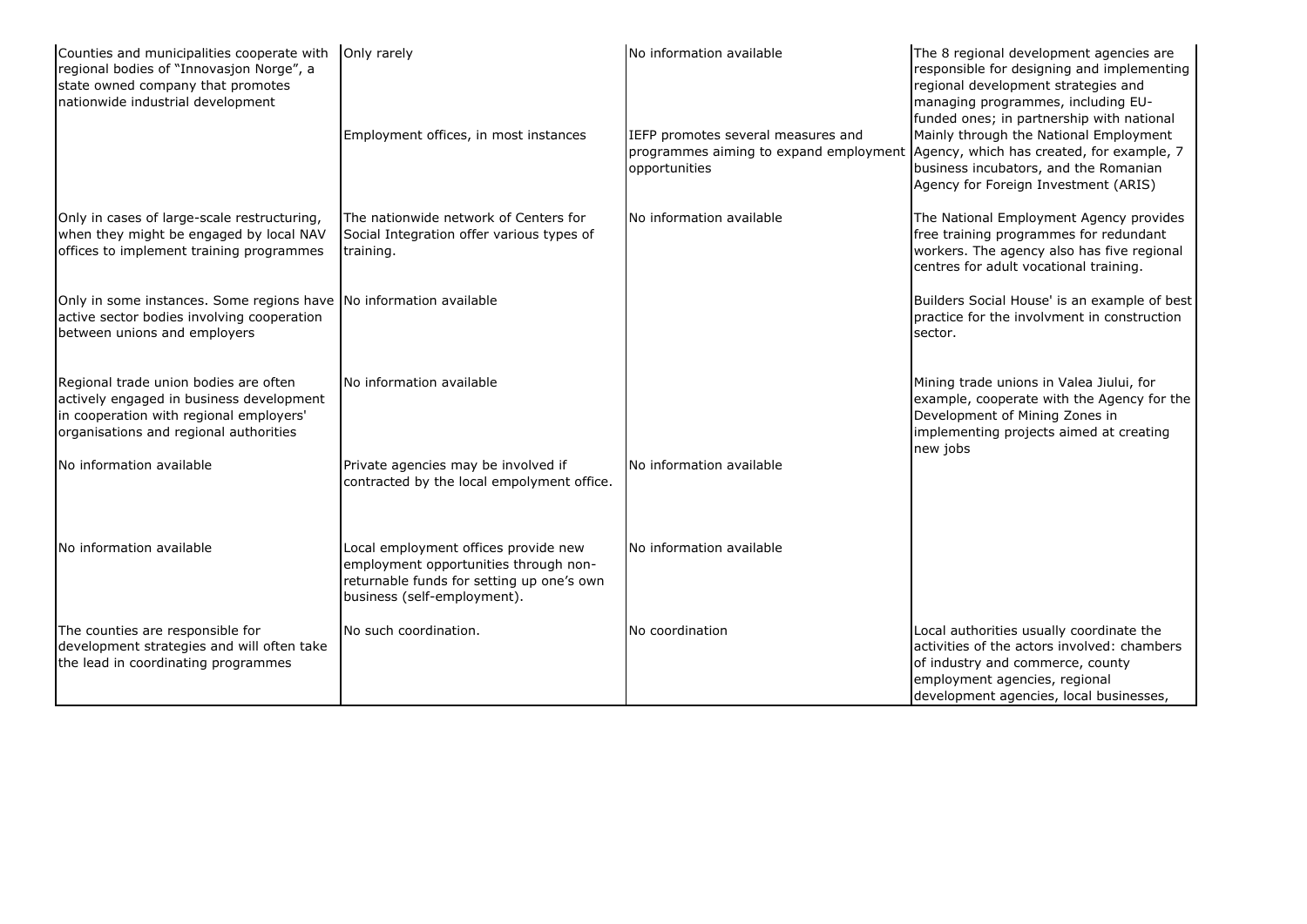| Counties and municipalities cooperate with<br>regional bodies of "Innovasjon Norge", a<br>state owned company that promotes<br>nationwide industrial development       | Only rarely                                                                                                                                               | No information available                                                                      | The 8 regional development agencies are<br>responsible for designing and implementing<br>regional development strategies and<br>managing programmes, including EU-<br>funded ones; in partnership with national |
|------------------------------------------------------------------------------------------------------------------------------------------------------------------------|-----------------------------------------------------------------------------------------------------------------------------------------------------------|-----------------------------------------------------------------------------------------------|-----------------------------------------------------------------------------------------------------------------------------------------------------------------------------------------------------------------|
|                                                                                                                                                                        | Employment offices, in most instances                                                                                                                     | IEFP promotes several measures and<br>programmes aiming to expand employment<br>opportunities | Mainly through the National Employment<br>Agency, which has created, for example, 7<br>business incubators, and the Romanian<br>Agency for Foreign Investment (ARIS)                                            |
| Only in cases of large-scale restructuring,<br>when they might be engaged by local NAV<br>offices to implement training programmes                                     | The nationwide network of Centers for<br>Social Integration offer various types of<br>training.                                                           | No information available                                                                      | The National Employment Agency provides<br>free training programmes for redundant<br>workers. The agency also has five regional<br>centres for adult vocational training.                                       |
| Only in some instances. Some regions have No information available<br>active sector bodies involving cooperation<br>between unions and employers                       |                                                                                                                                                           |                                                                                               | Builders Social House' is an example of best<br>practice for the involvment in construction<br>sector.                                                                                                          |
| Regional trade union bodies are often<br>actively engaged in business development<br>in cooperation with regional employers'<br>organisations and regional authorities | No information available                                                                                                                                  |                                                                                               | Mining trade unions in Valea Jiului, for<br>example, cooperate with the Agency for the<br>Development of Mining Zones in<br>implementing projects aimed at creating<br>new jobs                                 |
| No information available                                                                                                                                               | Private agencies may be involved if<br>contracted by the local empolyment office.                                                                         | No information available                                                                      |                                                                                                                                                                                                                 |
| No information available                                                                                                                                               | Local employment offices provide new<br>employment opportunities through non-<br>returnable funds for setting up one's own<br>business (self-employment). | No information available                                                                      |                                                                                                                                                                                                                 |
| The counties are responsible for<br>development strategies and will often take<br>the lead in coordinating programmes                                                  | No such coordination.                                                                                                                                     | No coordination                                                                               | Local authorities usually coordinate the<br>activities of the actors involved: chambers<br>of industry and commerce, county<br>employment agencies, regional<br>development agencies, local businesses,         |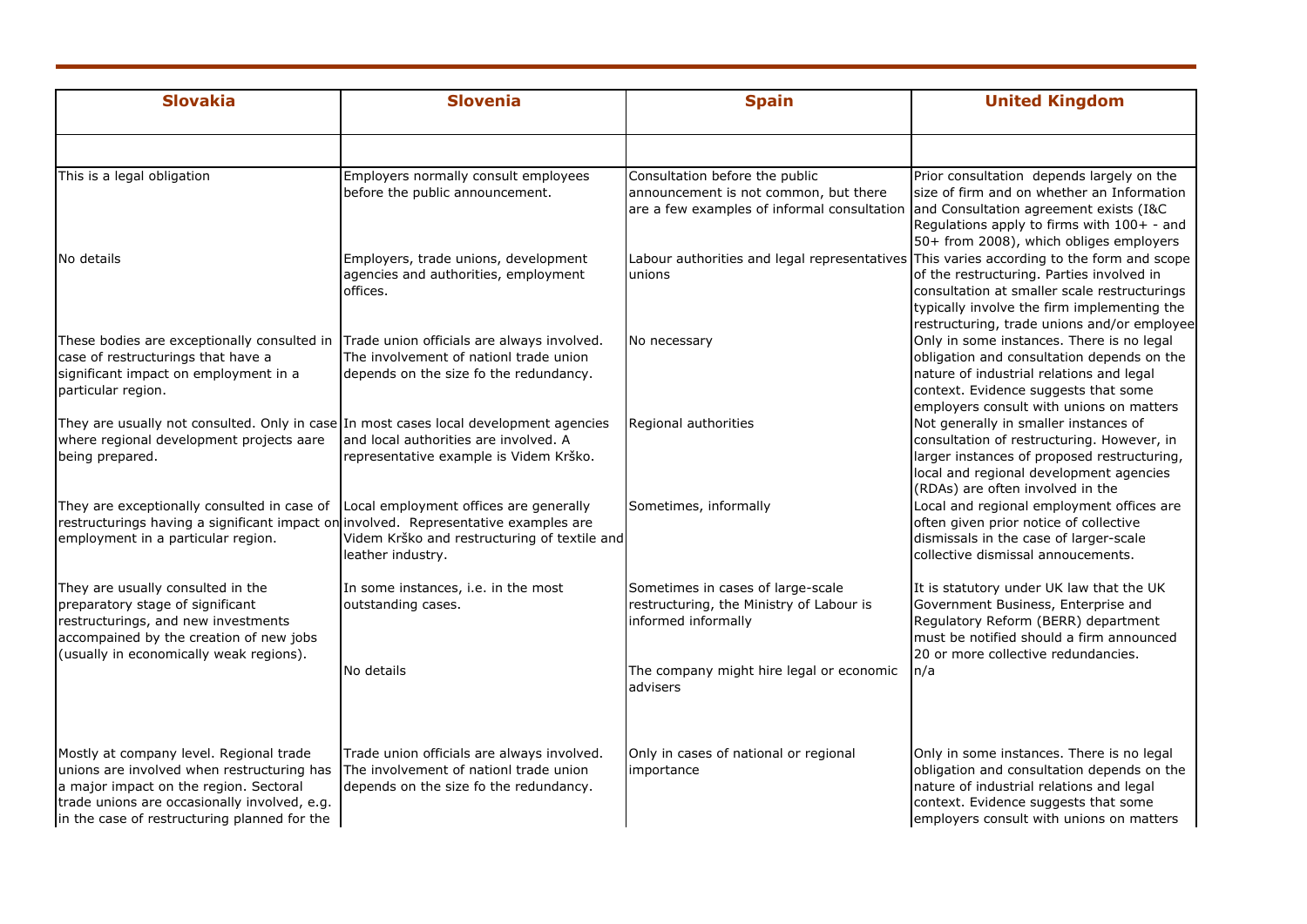| <b>Slovakia</b>                                                                                                                                                                                                                 | <b>Slovenia</b>                                                                                                                | <b>Spain</b>                                                                                                                                                  | <b>United Kingdom</b>                                                                                                                                                                                                   |
|---------------------------------------------------------------------------------------------------------------------------------------------------------------------------------------------------------------------------------|--------------------------------------------------------------------------------------------------------------------------------|---------------------------------------------------------------------------------------------------------------------------------------------------------------|-------------------------------------------------------------------------------------------------------------------------------------------------------------------------------------------------------------------------|
|                                                                                                                                                                                                                                 |                                                                                                                                |                                                                                                                                                               |                                                                                                                                                                                                                         |
| This is a legal obligation                                                                                                                                                                                                      | Employers normally consult employees<br>before the public announcement.                                                        | Consultation before the public<br>announcement is not common, but there<br>are a few examples of informal consultation and Consultation agreement exists (I&C | Prior consultation depends largely on the<br>size of firm and on whether an Information<br>Regulations apply to firms with 100+ - and<br>50+ from 2008), which obliges employers                                        |
| No details                                                                                                                                                                                                                      | Employers, trade unions, development<br>agencies and authorities, employment<br>offices.                                       | Labour authorities and legal representatives This varies according to the form and scope<br>unions                                                            | of the restructuring. Parties involved in<br>consultation at smaller scale restructurings<br>typically involve the firm implementing the<br>restructuring, trade unions and/or employee                                 |
| These bodies are exceptionally consulted in<br>case of restructurings that have a<br>significant impact on employment in a<br>particular region.                                                                                | Trade union officials are always involved.<br>The involvement of nationl trade union<br>depends on the size fo the redundancy. | No necessary                                                                                                                                                  | Only in some instances. There is no legal<br>obligation and consultation depends on the<br>nature of industrial relations and legal<br>context. Evidence suggests that some<br>employers consult with unions on matters |
| They are usually not consulted. Only in case In most cases local development agencies<br>where regional development projects aare<br>being prepared.                                                                            | and local authorities are involved. A<br>representative example is Videm Krško.                                                | Regional authorities                                                                                                                                          | Not generally in smaller instances of<br>consultation of restructuring. However, in<br>larger instances of proposed restructuring,<br>local and regional development agencies<br>(RDAs) are often involved in the       |
| They are exceptionally consulted in case of<br>restructurings having a significant impact on involved. Representative examples are<br>employment in a particular region.                                                        | Local employment offices are generally<br>Videm Krško and restructuring of textile and<br>leather industry.                    | Sometimes, informally                                                                                                                                         | Local and regional employment offices are<br>often given prior notice of collective<br>dismissals in the case of larger-scale<br>collective dismissal annoucements.                                                     |
| They are usually consulted in the<br>preparatory stage of significant<br>restructurings, and new investments<br>accompained by the creation of new jobs<br>(usually in economically weak regions).                              | In some instances, i.e. in the most<br>outstanding cases.                                                                      | Sometimes in cases of large-scale<br>restructuring, the Ministry of Labour is<br>informed informally                                                          | It is statutory under UK law that the UK<br>Government Business, Enterprise and<br>Regulatory Reform (BERR) department<br>must be notified should a firm announced<br>20 or more collective redundancies.               |
|                                                                                                                                                                                                                                 | No details                                                                                                                     | The company might hire legal or economic<br>advisers                                                                                                          | n/a                                                                                                                                                                                                                     |
| Mostly at company level. Regional trade<br>unions are involved when restructuring has<br>a major impact on the region. Sectoral<br>trade unions are occasionally involved, e.g.<br>in the case of restructuring planned for the | Trade union officials are always involved.<br>The involvement of nationl trade union<br>depends on the size fo the redundancy. | Only in cases of national or regional<br>importance                                                                                                           | Only in some instances. There is no legal<br>obligation and consultation depends on the<br>nature of industrial relations and legal<br>context. Evidence suggests that some<br>employers consult with unions on matters |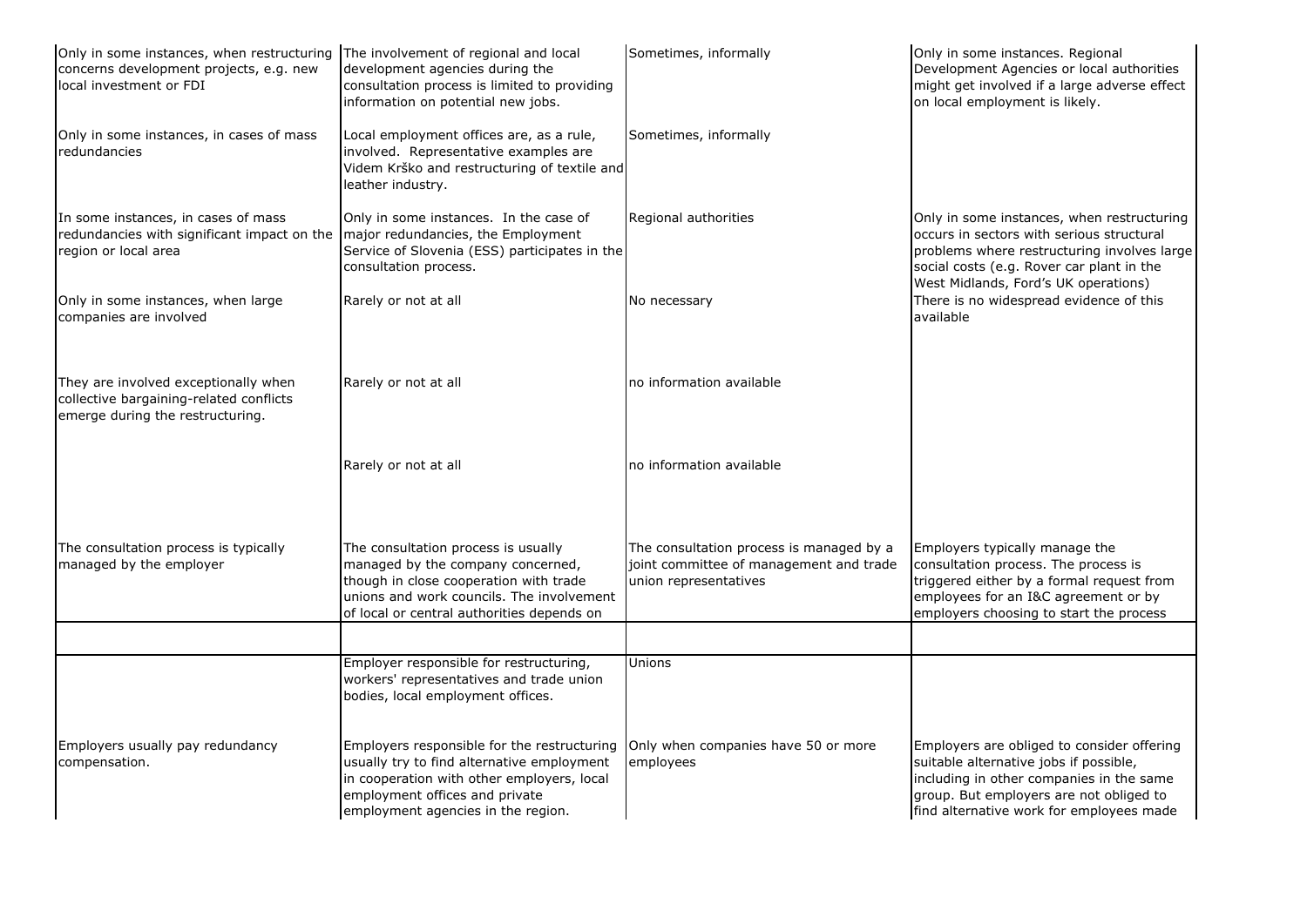| Only in some instances, when restructuring The involvement of regional and local<br>concerns development projects, e.g. new<br>local investment or FDI | development agencies during the<br>consultation process is limited to providing<br>information on potential new jobs.                                                                                           | Sometimes, informally                                                                                        | Only in some instances. Regional<br>Development Agencies or local authorities<br>might get involved if a large adverse effect<br>on local employment is likely.                                                         |
|--------------------------------------------------------------------------------------------------------------------------------------------------------|-----------------------------------------------------------------------------------------------------------------------------------------------------------------------------------------------------------------|--------------------------------------------------------------------------------------------------------------|-------------------------------------------------------------------------------------------------------------------------------------------------------------------------------------------------------------------------|
| Only in some instances, in cases of mass<br>redundancies                                                                                               | Local employment offices are, as a rule,<br>involved. Representative examples are<br>Videm Krško and restructuring of textile and<br>leather industry.                                                          | Sometimes, informally                                                                                        |                                                                                                                                                                                                                         |
| In some instances, in cases of mass<br>redundancies with significant impact on the<br>region or local area                                             | Only in some instances. In the case of<br>major redundancies, the Employment<br>Service of Slovenia (ESS) participates in the<br>consultation process.                                                          | Regional authorities                                                                                         | Only in some instances, when restructuring<br>occurs in sectors with serious structural<br>problems where restructuring involves large<br>social costs (e.g. Rover car plant in the                                     |
| Only in some instances, when large<br>companies are involved                                                                                           | Rarely or not at all                                                                                                                                                                                            | No necessary                                                                                                 | West Midlands, Ford's UK operations)<br>There is no widespread evidence of this<br>available                                                                                                                            |
| They are involved exceptionally when<br>collective bargaining-related conflicts<br>emerge during the restructuring.                                    | Rarely or not at all                                                                                                                                                                                            | no information available                                                                                     |                                                                                                                                                                                                                         |
|                                                                                                                                                        | Rarely or not at all                                                                                                                                                                                            | no information available                                                                                     |                                                                                                                                                                                                                         |
| The consultation process is typically<br>managed by the employer                                                                                       | The consultation process is usually<br>managed by the company concerned,<br>though in close cooperation with trade<br>unions and work councils. The involvement<br>of local or central authorities depends on   | The consultation process is managed by a<br>joint committee of management and trade<br>union representatives | Employers typically manage the<br>consultation process. The process is<br>triggered either by a formal request from<br>employees for an I&C agreement or by<br>employers choosing to start the process                  |
|                                                                                                                                                        |                                                                                                                                                                                                                 |                                                                                                              |                                                                                                                                                                                                                         |
|                                                                                                                                                        | Employer responsible for restructuring,<br>workers' representatives and trade union<br>bodies, local employment offices.                                                                                        | Unions                                                                                                       |                                                                                                                                                                                                                         |
| Employers usually pay redundancy<br>compensation.                                                                                                      | Employers responsible for the restructuring<br>usually try to find alternative employment<br>in cooperation with other employers, local<br>employment offices and private<br>employment agencies in the region. | Only when companies have 50 or more<br>employees                                                             | Employers are obliged to consider offering<br>suitable alternative jobs if possible,<br>including in other companies in the same<br>group. But employers are not obliged to<br>find alternative work for employees made |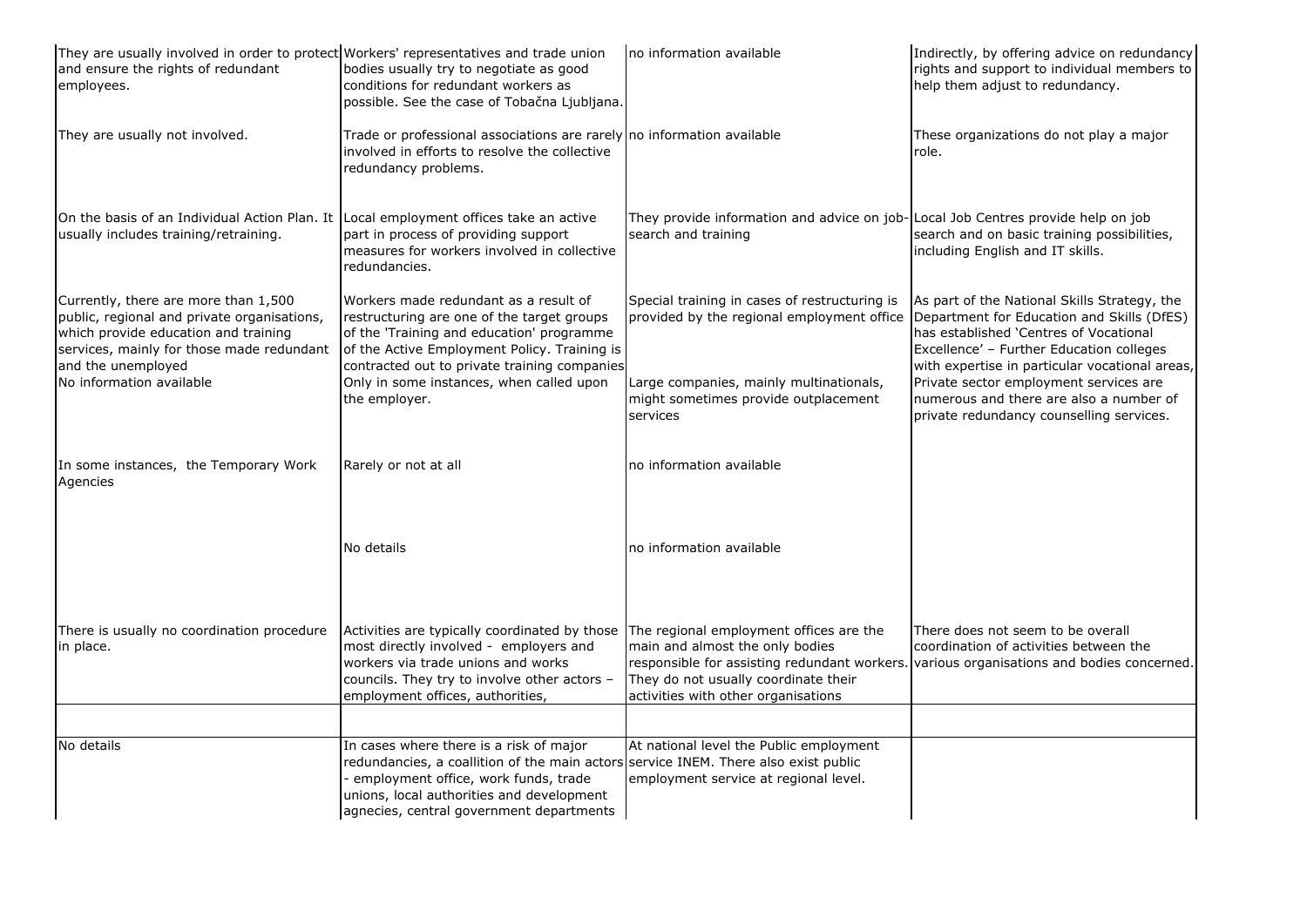| They are usually involved in order to protect Workers' representatives and trade union<br>and ensure the rights of redundant<br>employees.                                                     | bodies usually try to negotiate as good<br>conditions for redundant workers as<br>possible. See the case of Tobačna Ljubljana.                                                                                                                                    | no information available                                                                                                                                  | Indirectly, by offering advice on redundancy<br>rights and support to individual members to<br>help them adjust to redundancy.                                                                                                     |
|------------------------------------------------------------------------------------------------------------------------------------------------------------------------------------------------|-------------------------------------------------------------------------------------------------------------------------------------------------------------------------------------------------------------------------------------------------------------------|-----------------------------------------------------------------------------------------------------------------------------------------------------------|------------------------------------------------------------------------------------------------------------------------------------------------------------------------------------------------------------------------------------|
| They are usually not involved.                                                                                                                                                                 | Trade or professional associations are rarely no information available<br>involved in efforts to resolve the collective<br>redundancy problems.                                                                                                                   |                                                                                                                                                           | These organizations do not play a major<br>role.                                                                                                                                                                                   |
| On the basis of an Individual Action Plan. It Local employment offices take an active<br>usually includes training/retraining.                                                                 | part in process of providing support<br>measures for workers involved in collective<br>redundancies.                                                                                                                                                              | They provide information and advice on job-Local Job Centres provide help on job<br>search and training                                                   | search and on basic training possibilities,<br>including English and IT skills.                                                                                                                                                    |
| Currently, there are more than 1,500<br>public, regional and private organisations,<br>which provide education and training<br>services, mainly for those made redundant<br>and the unemployed | Workers made redundant as a result of<br>restructuring are one of the target groups<br>of the 'Training and education' programme<br>of the Active Employment Policy. Training is<br>contracted out to private training companies                                  | Special training in cases of restructuring is<br>provided by the regional employment office                                                               | As part of the National Skills Strategy, the<br>Department for Education and Skills (DfES)<br>has established 'Centres of Vocational<br>Excellence' - Further Education colleges<br>with expertise in particular vocational areas, |
| No information available                                                                                                                                                                       | Only in some instances, when called upon<br>the employer.                                                                                                                                                                                                         | Large companies, mainly multinationals,<br>might sometimes provide outplacement<br>services                                                               | Private sector employment services are<br>numerous and there are also a number of<br>private redundancy counselling services.                                                                                                      |
| In some instances, the Temporary Work<br>Agencies                                                                                                                                              | Rarely or not at all                                                                                                                                                                                                                                              | no information available                                                                                                                                  |                                                                                                                                                                                                                                    |
|                                                                                                                                                                                                | No details                                                                                                                                                                                                                                                        | no information available                                                                                                                                  |                                                                                                                                                                                                                                    |
| There is usually no coordination procedure<br>in place.                                                                                                                                        | Activities are typically coordinated by those<br>most directly involved - employers and<br>workers via trade unions and works<br>councils. They try to involve other actors -<br>employment offices, authorities,                                                 | The regional employment offices are the<br>main and almost the only bodies<br>They do not usually coordinate their<br>activities with other organisations | There does not seem to be overall<br>coordination of activities between the<br>responsible for assisting redundant workers. various organisations and bodies concerned.                                                            |
| No details                                                                                                                                                                                     | In cases where there is a risk of major<br>redundancies, a coallition of the main actors service INEM. There also exist public<br>- employment office, work funds, trade<br>unions, local authorities and development<br>agnecies, central government departments | At national level the Public employment<br>employment service at regional level.                                                                          |                                                                                                                                                                                                                                    |